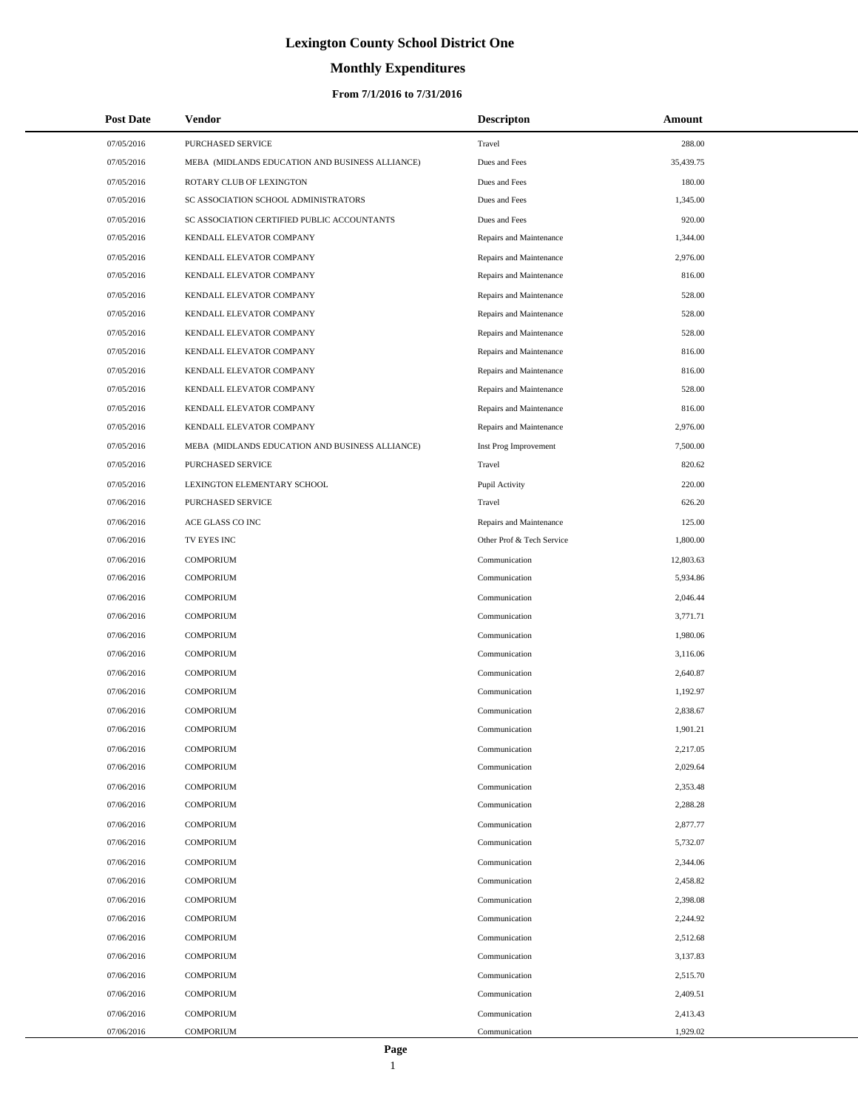# **Monthly Expenditures**

### **From 7/1/2016 to 7/31/2016**

| <b>Post Date</b>         | Vendor                                          | <b>Descripton</b>              | Amount               |
|--------------------------|-------------------------------------------------|--------------------------------|----------------------|
| 07/05/2016               | PURCHASED SERVICE                               | Travel                         | 288.00               |
| 07/05/2016               | MEBA (MIDLANDS EDUCATION AND BUSINESS ALLIANCE) | Dues and Fees                  | 35,439.75            |
| 07/05/2016               | ROTARY CLUB OF LEXINGTON                        | Dues and Fees                  | 180.00               |
| 07/05/2016               | SC ASSOCIATION SCHOOL ADMINISTRATORS            | Dues and Fees                  | 1,345.00             |
| 07/05/2016               | SC ASSOCIATION CERTIFIED PUBLIC ACCOUNTANTS     | Dues and Fees                  | 920.00               |
| 07/05/2016               | KENDALL ELEVATOR COMPANY                        | Repairs and Maintenance        | 1,344.00             |
| 07/05/2016               | KENDALL ELEVATOR COMPANY                        | Repairs and Maintenance        | 2,976.00             |
| 07/05/2016               | KENDALL ELEVATOR COMPANY                        | Repairs and Maintenance        | 816.00               |
| 07/05/2016               | KENDALL ELEVATOR COMPANY                        | Repairs and Maintenance        | 528.00               |
| 07/05/2016               | KENDALL ELEVATOR COMPANY                        | Repairs and Maintenance        | 528.00               |
| 07/05/2016               | KENDALL ELEVATOR COMPANY                        | Repairs and Maintenance        | 528.00               |
| 07/05/2016               | KENDALL ELEVATOR COMPANY                        | Repairs and Maintenance        | 816.00               |
| 07/05/2016               | KENDALL ELEVATOR COMPANY                        | Repairs and Maintenance        | 816.00               |
| 07/05/2016               | KENDALL ELEVATOR COMPANY                        | Repairs and Maintenance        | 528.00               |
| 07/05/2016               | KENDALL ELEVATOR COMPANY                        | Repairs and Maintenance        | 816.00               |
| 07/05/2016               | KENDALL ELEVATOR COMPANY                        | Repairs and Maintenance        | 2,976.00             |
| 07/05/2016               | MEBA (MIDLANDS EDUCATION AND BUSINESS ALLIANCE) | Inst Prog Improvement          | 7,500.00             |
| 07/05/2016               | PURCHASED SERVICE                               | Travel                         | 820.62               |
| 07/05/2016               | LEXINGTON ELEMENTARY SCHOOL                     | Pupil Activity                 | 220.00               |
| 07/06/2016               | PURCHASED SERVICE                               | Travel                         | 626.20               |
| 07/06/2016               | ACE GLASS CO INC                                | Repairs and Maintenance        | 125.00               |
| 07/06/2016               | TV EYES INC                                     | Other Prof & Tech Service      | 1,800.00             |
| 07/06/2016               | <b>COMPORIUM</b>                                | Communication                  | 12,803.63            |
| 07/06/2016               | <b>COMPORIUM</b>                                | Communication                  | 5,934.86             |
| 07/06/2016               | <b>COMPORIUM</b>                                | Communication                  | 2,046.44             |
| 07/06/2016               | <b>COMPORIUM</b>                                | Communication                  | 3,771.71             |
| 07/06/2016               | <b>COMPORIUM</b>                                | Communication                  | 1,980.06             |
| 07/06/2016               | <b>COMPORIUM</b>                                | Communication                  | 3,116.06             |
| 07/06/2016               | <b>COMPORIUM</b>                                | Communication                  | 2,640.87             |
| 07/06/2016               | <b>COMPORIUM</b>                                | Communication                  | 1,192.97             |
| 07/06/2016               | <b>COMPORIUM</b>                                | Communication                  | 2,838.67             |
| 07/06/2016               | <b>COMPORIUM</b>                                | Communication                  | 1,901.21             |
| 07/06/2016               | <b>COMPORIUM</b>                                | Communication                  | 2,217.05             |
| 07/06/2016               | <b>COMPORIUM</b>                                | Communication                  | 2,029.64             |
| 07/06/2016               | <b>COMPORIUM</b>                                | Communication                  | 2,353.48             |
| 07/06/2016               | <b>COMPORIUM</b>                                | Communication                  | 2,288.28             |
| 07/06/2016<br>07/06/2016 | <b>COMPORIUM</b>                                | Communication                  | 2,877.77             |
|                          | <b>COMPORIUM</b>                                | Communication                  | 5,732.07             |
| 07/06/2016<br>07/06/2016 | <b>COMPORIUM</b><br><b>COMPORIUM</b>            | Communication<br>Communication | 2,344.06<br>2,458.82 |
|                          | <b>COMPORIUM</b>                                |                                | 2,398.08             |
| 07/06/2016<br>07/06/2016 | <b>COMPORIUM</b>                                | Communication<br>Communication | 2,244.92             |
| 07/06/2016               | <b>COMPORIUM</b>                                | Communication                  | 2,512.68             |
| 07/06/2016               | <b>COMPORIUM</b>                                | Communication                  | 3,137.83             |
| 07/06/2016               | <b>COMPORIUM</b>                                | Communication                  | 2,515.70             |
| 07/06/2016               | <b>COMPORIUM</b>                                | Communication                  | 2,409.51             |
| 07/06/2016               | <b>COMPORIUM</b>                                | Communication                  | 2,413.43             |
| 07/06/2016               | <b>COMPORIUM</b>                                | Communication                  | 1,929.02             |

L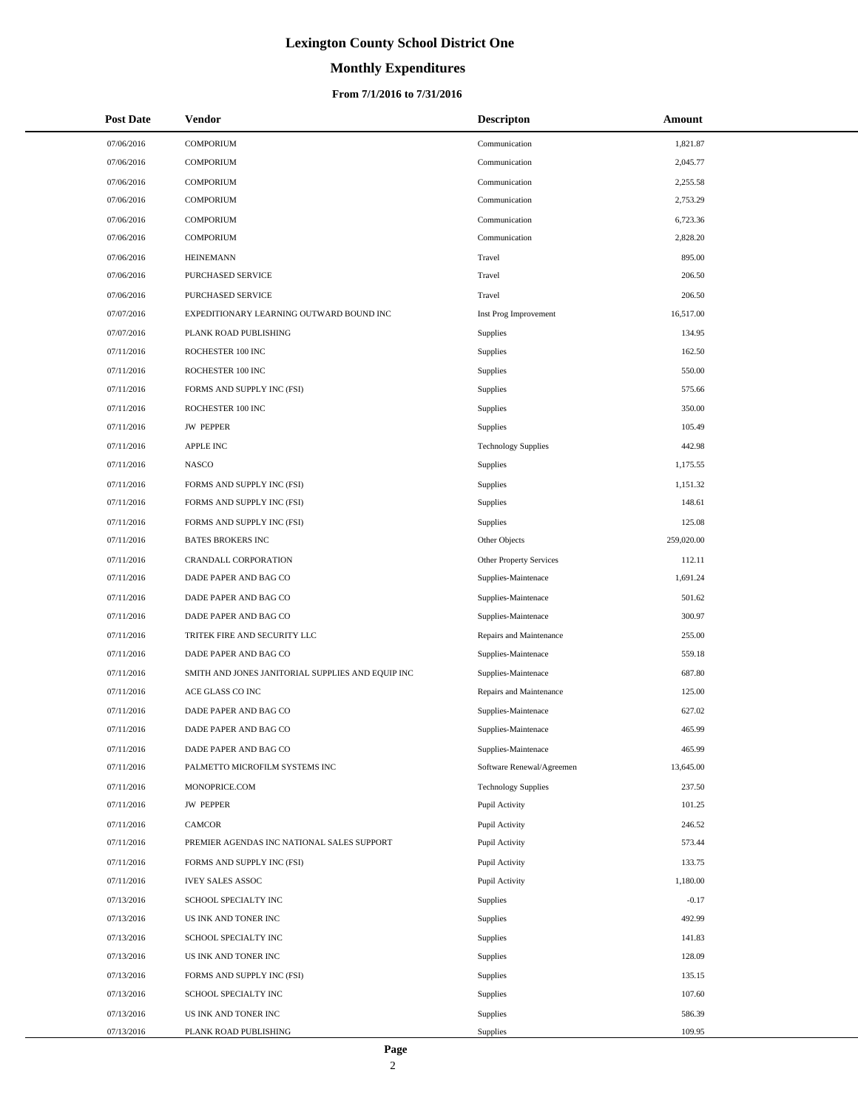# **Monthly Expenditures**

| <b>Post Date</b> | Vendor                                            | <b>Descripton</b>          | Amount     |
|------------------|---------------------------------------------------|----------------------------|------------|
| 07/06/2016       | <b>COMPORIUM</b>                                  | Communication              | 1,821.87   |
| 07/06/2016       | <b>COMPORIUM</b>                                  | Communication              | 2,045.77   |
| 07/06/2016       | <b>COMPORIUM</b>                                  | Communication              | 2,255.58   |
| 07/06/2016       | <b>COMPORIUM</b>                                  | Communication              | 2,753.29   |
| 07/06/2016       | <b>COMPORIUM</b>                                  | Communication              | 6,723.36   |
| 07/06/2016       | <b>COMPORIUM</b>                                  | Communication              | 2,828.20   |
| 07/06/2016       | <b>HEINEMANN</b>                                  | Travel                     | 895.00     |
| 07/06/2016       | PURCHASED SERVICE                                 | Travel                     | 206.50     |
| 07/06/2016       | PURCHASED SERVICE                                 | Travel                     | 206.50     |
| 07/07/2016       | EXPEDITIONARY LEARNING OUTWARD BOUND INC          | Inst Prog Improvement      | 16,517.00  |
| 07/07/2016       | PLANK ROAD PUBLISHING                             | Supplies                   | 134.95     |
| 07/11/2016       | ROCHESTER 100 INC                                 | Supplies                   | 162.50     |
| 07/11/2016       | ROCHESTER 100 INC                                 | Supplies                   | 550.00     |
| 07/11/2016       | FORMS AND SUPPLY INC (FSI)                        | Supplies                   | 575.66     |
| 07/11/2016       | ROCHESTER 100 INC                                 | Supplies                   | 350.00     |
| 07/11/2016       | <b>JW PEPPER</b>                                  | Supplies                   | 105.49     |
| 07/11/2016       | <b>APPLE INC</b>                                  | <b>Technology Supplies</b> | 442.98     |
| 07/11/2016       | <b>NASCO</b>                                      | Supplies                   | 1,175.55   |
| 07/11/2016       | FORMS AND SUPPLY INC (FSI)                        | Supplies                   | 1,151.32   |
| 07/11/2016       | FORMS AND SUPPLY INC (FSI)                        | Supplies                   | 148.61     |
| 07/11/2016       | FORMS AND SUPPLY INC (FSI)                        | Supplies                   | 125.08     |
| 07/11/2016       | <b>BATES BROKERS INC</b>                          | Other Objects              | 259,020.00 |
| 07/11/2016       | CRANDALL CORPORATION                              | Other Property Services    | 112.11     |
| 07/11/2016       | DADE PAPER AND BAG CO                             | Supplies-Maintenace        | 1,691.24   |
| 07/11/2016       | DADE PAPER AND BAG CO                             | Supplies-Maintenace        | 501.62     |
| 07/11/2016       | DADE PAPER AND BAG CO                             | Supplies-Maintenace        | 300.97     |
| 07/11/2016       | TRITEK FIRE AND SECURITY LLC                      | Repairs and Maintenance    | 255.00     |
| 07/11/2016       | DADE PAPER AND BAG CO                             | Supplies-Maintenace        | 559.18     |
| 07/11/2016       | SMITH AND JONES JANITORIAL SUPPLIES AND EQUIP INC | Supplies-Maintenace        | 687.80     |
| 07/11/2016       | ACE GLASS CO INC                                  | Repairs and Maintenance    | 125.00     |
| 07/11/2016       | DADE PAPER AND BAG CO                             | Supplies-Maintenace        | 627.02     |
| 07/11/2016       | DADE PAPER AND BAG CO                             | Supplies-Maintenace        | 465.99     |
| 07/11/2016       | DADE PAPER AND BAG CO                             | Supplies-Maintenace        | 465.99     |
| 07/11/2016       | PALMETTO MICROFILM SYSTEMS INC                    | Software Renewal/Agreemen  | 13,645.00  |
| 07/11/2016       | MONOPRICE.COM                                     | <b>Technology Supplies</b> | 237.50     |
| 07/11/2016       | <b>JW PEPPER</b>                                  | Pupil Activity             | 101.25     |
| 07/11/2016       | <b>CAMCOR</b>                                     | Pupil Activity             | 246.52     |
| 07/11/2016       | PREMIER AGENDAS INC NATIONAL SALES SUPPORT        | Pupil Activity             | 573.44     |
| 07/11/2016       | FORMS AND SUPPLY INC (FSI)                        | Pupil Activity             | 133.75     |
| 07/11/2016       | <b>IVEY SALES ASSOC</b>                           | Pupil Activity             | 1,180.00   |
| 07/13/2016       | SCHOOL SPECIALTY INC                              | <b>Supplies</b>            | $-0.17$    |
| 07/13/2016       | US INK AND TONER INC                              | Supplies                   | 492.99     |
| 07/13/2016       | SCHOOL SPECIALTY INC                              | Supplies                   | 141.83     |
| 07/13/2016       | US INK AND TONER INC                              | Supplies                   | 128.09     |
| 07/13/2016       | FORMS AND SUPPLY INC (FSI)                        | <b>Supplies</b>            | 135.15     |
| 07/13/2016       | SCHOOL SPECIALTY INC                              | Supplies                   | 107.60     |
| 07/13/2016       | US INK AND TONER INC                              | Supplies                   | 586.39     |
| 07/13/2016       | PLANK ROAD PUBLISHING                             | Supplies                   | 109.95     |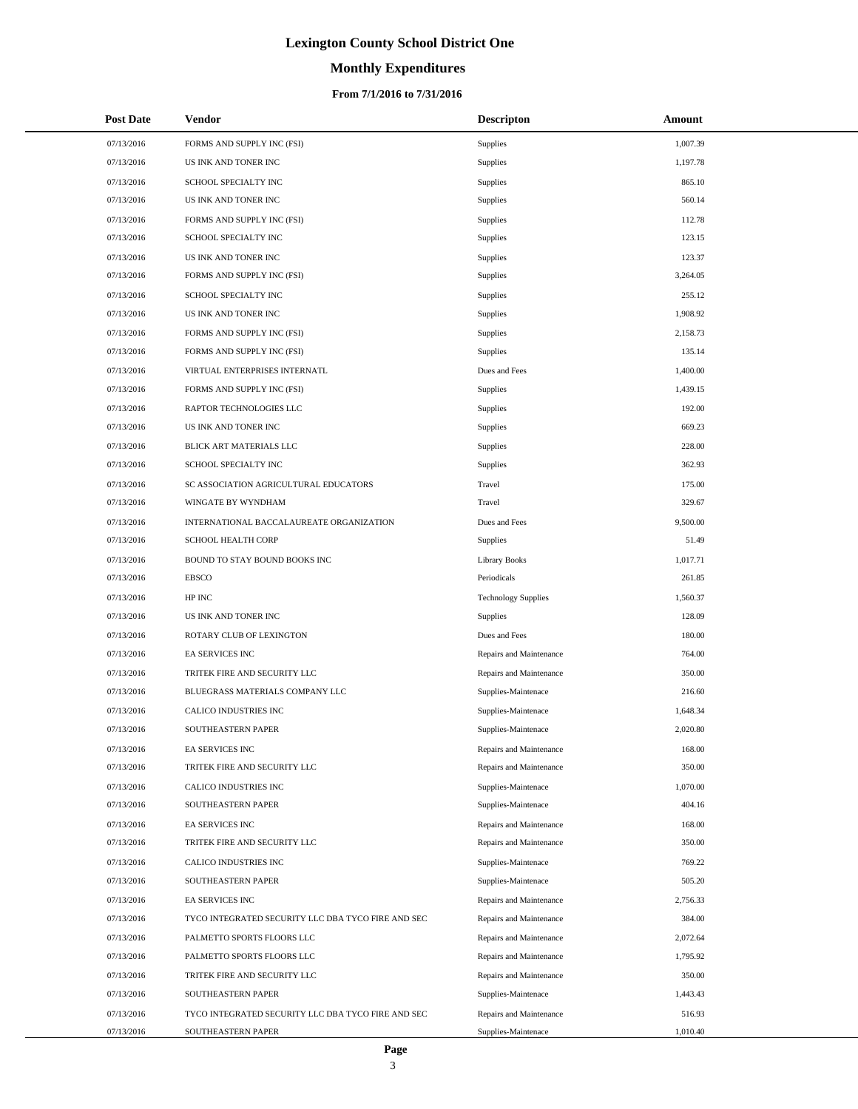# **Monthly Expenditures**

### **From 7/1/2016 to 7/31/2016**

| <b>Post Date</b> | <b>Vendor</b>                                      | <b>Descripton</b>          | Amount   |
|------------------|----------------------------------------------------|----------------------------|----------|
| 07/13/2016       | FORMS AND SUPPLY INC (FSI)                         | Supplies                   | 1,007.39 |
| 07/13/2016       | US INK AND TONER INC                               | Supplies                   | 1,197.78 |
| 07/13/2016       | SCHOOL SPECIALTY INC                               | Supplies                   | 865.10   |
| 07/13/2016       | US INK AND TONER INC                               | Supplies                   | 560.14   |
| 07/13/2016       | FORMS AND SUPPLY INC (FSI)                         | <b>Supplies</b>            | 112.78   |
| 07/13/2016       | SCHOOL SPECIALTY INC                               | Supplies                   | 123.15   |
| 07/13/2016       | US INK AND TONER INC                               | Supplies                   | 123.37   |
| 07/13/2016       | FORMS AND SUPPLY INC (FSI)                         | Supplies                   | 3,264.05 |
| 07/13/2016       | SCHOOL SPECIALTY INC                               | <b>Supplies</b>            | 255.12   |
| 07/13/2016       | US INK AND TONER INC                               | Supplies                   | 1,908.92 |
| 07/13/2016       | FORMS AND SUPPLY INC (FSI)                         | Supplies                   | 2,158.73 |
| 07/13/2016       | FORMS AND SUPPLY INC (FSI)                         | <b>Supplies</b>            | 135.14   |
| 07/13/2016       | VIRTUAL ENTERPRISES INTERNATL                      | Dues and Fees              | 1,400.00 |
| 07/13/2016       | FORMS AND SUPPLY INC (FSI)                         | Supplies                   | 1,439.15 |
| 07/13/2016       | RAPTOR TECHNOLOGIES LLC                            | Supplies                   | 192.00   |
| 07/13/2016       | US INK AND TONER INC                               | Supplies                   | 669.23   |
| 07/13/2016       | BLICK ART MATERIALS LLC                            | <b>Supplies</b>            | 228.00   |
| 07/13/2016       | SCHOOL SPECIALTY INC                               | Supplies                   | 362.93   |
| 07/13/2016       | SC ASSOCIATION AGRICULTURAL EDUCATORS              | Travel                     | 175.00   |
| 07/13/2016       | WINGATE BY WYNDHAM                                 | Travel                     | 329.67   |
| 07/13/2016       | INTERNATIONAL BACCALAUREATE ORGANIZATION           | Dues and Fees              | 9,500.00 |
| 07/13/2016       | SCHOOL HEALTH CORP                                 | Supplies                   | 51.49    |
| 07/13/2016       | BOUND TO STAY BOUND BOOKS INC                      | <b>Library Books</b>       | 1,017.71 |
| 07/13/2016       | <b>EBSCO</b>                                       | Periodicals                | 261.85   |
| 07/13/2016       | HP INC                                             | <b>Technology Supplies</b> | 1,560.37 |
| 07/13/2016       | US INK AND TONER INC                               | Supplies                   | 128.09   |
| 07/13/2016       | ROTARY CLUB OF LEXINGTON                           | Dues and Fees              | 180.00   |
| 07/13/2016       | EA SERVICES INC                                    | Repairs and Maintenance    | 764.00   |
| 07/13/2016       | TRITEK FIRE AND SECURITY LLC                       | Repairs and Maintenance    | 350.00   |
| 07/13/2016       | BLUEGRASS MATERIALS COMPANY LLC                    | Supplies-Maintenace        | 216.60   |
| 07/13/2016       | CALICO INDUSTRIES INC                              | Supplies-Maintenace        | 1,648.34 |
| 07/13/2016       | SOUTHEASTERN PAPER                                 | Supplies-Maintenace        | 2,020.80 |
| 07/13/2016       | EA SERVICES INC                                    | Repairs and Maintenance    | 168.00   |
| 07/13/2016       | TRITEK FIRE AND SECURITY LLC                       | Repairs and Maintenance    | 350.00   |
| 07/13/2016       | CALICO INDUSTRIES INC                              | Supplies-Maintenace        | 1,070.00 |
| 07/13/2016       | SOUTHEASTERN PAPER                                 | Supplies-Maintenace        | 404.16   |
| 07/13/2016       | <b>EA SERVICES INC</b>                             | Repairs and Maintenance    | 168.00   |
| 07/13/2016       | TRITEK FIRE AND SECURITY LLC                       | Repairs and Maintenance    | 350.00   |
| 07/13/2016       | CALICO INDUSTRIES INC                              | Supplies-Maintenace        | 769.22   |
| 07/13/2016       | SOUTHEASTERN PAPER                                 | Supplies-Maintenace        | 505.20   |
| 07/13/2016       | EA SERVICES INC                                    | Repairs and Maintenance    | 2,756.33 |
| 07/13/2016       | TYCO INTEGRATED SECURITY LLC DBA TYCO FIRE AND SEC | Repairs and Maintenance    | 384.00   |
| 07/13/2016       | PALMETTO SPORTS FLOORS LLC                         | Repairs and Maintenance    | 2,072.64 |
| 07/13/2016       | PALMETTO SPORTS FLOORS LLC                         | Repairs and Maintenance    | 1,795.92 |
| 07/13/2016       | TRITEK FIRE AND SECURITY LLC                       | Repairs and Maintenance    | 350.00   |
| 07/13/2016       | SOUTHEASTERN PAPER                                 | Supplies-Maintenace        | 1,443.43 |
| 07/13/2016       | TYCO INTEGRATED SECURITY LLC DBA TYCO FIRE AND SEC | Repairs and Maintenance    | 516.93   |
| 07/13/2016       | SOUTHEASTERN PAPER                                 | Supplies-Maintenace        | 1,010.40 |

 $\overline{\phantom{0}}$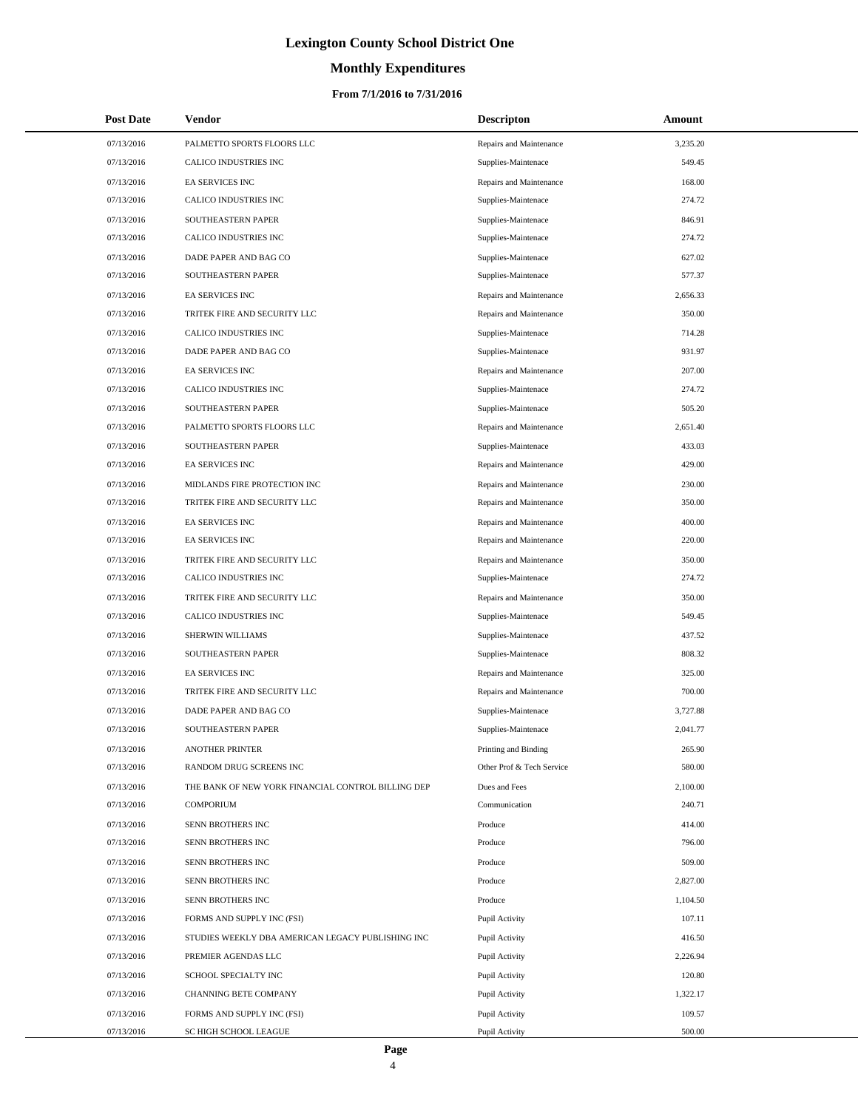# **Monthly Expenditures**

### **From 7/1/2016 to 7/31/2016**

| <b>Post Date</b> | <b>Vendor</b>                                      | <b>Descripton</b>         | Amount   |  |
|------------------|----------------------------------------------------|---------------------------|----------|--|
| 07/13/2016       | PALMETTO SPORTS FLOORS LLC                         | Repairs and Maintenance   | 3,235.20 |  |
| 07/13/2016       | CALICO INDUSTRIES INC                              | Supplies-Maintenace       | 549.45   |  |
| 07/13/2016       | <b>EA SERVICES INC</b>                             | Repairs and Maintenance   | 168.00   |  |
| 07/13/2016       | CALICO INDUSTRIES INC                              | Supplies-Maintenace       | 274.72   |  |
| 07/13/2016       | SOUTHEASTERN PAPER                                 | Supplies-Maintenace       | 846.91   |  |
| 07/13/2016       | CALICO INDUSTRIES INC                              | Supplies-Maintenace       | 274.72   |  |
| 07/13/2016       | DADE PAPER AND BAG CO                              | Supplies-Maintenace       | 627.02   |  |
| 07/13/2016       | SOUTHEASTERN PAPER                                 | Supplies-Maintenace       | 577.37   |  |
| 07/13/2016       | EA SERVICES INC                                    | Repairs and Maintenance   | 2,656.33 |  |
| 07/13/2016       | TRITEK FIRE AND SECURITY LLC                       | Repairs and Maintenance   | 350.00   |  |
| 07/13/2016       | CALICO INDUSTRIES INC                              | Supplies-Maintenace       | 714.28   |  |
| 07/13/2016       | DADE PAPER AND BAG CO                              | Supplies-Maintenace       | 931.97   |  |
| 07/13/2016       | EA SERVICES INC                                    | Repairs and Maintenance   | 207.00   |  |
| 07/13/2016       | CALICO INDUSTRIES INC                              | Supplies-Maintenace       | 274.72   |  |
| 07/13/2016       | SOUTHEASTERN PAPER                                 | Supplies-Maintenace       | 505.20   |  |
| 07/13/2016       | PALMETTO SPORTS FLOORS LLC                         | Repairs and Maintenance   | 2,651.40 |  |
| 07/13/2016       | SOUTHEASTERN PAPER                                 | Supplies-Maintenace       | 433.03   |  |
| 07/13/2016       | EA SERVICES INC                                    | Repairs and Maintenance   | 429.00   |  |
| 07/13/2016       | MIDLANDS FIRE PROTECTION INC                       | Repairs and Maintenance   | 230.00   |  |
| 07/13/2016       | TRITEK FIRE AND SECURITY LLC                       | Repairs and Maintenance   | 350.00   |  |
| 07/13/2016       | EA SERVICES INC                                    | Repairs and Maintenance   | 400.00   |  |
| 07/13/2016       | EA SERVICES INC                                    | Repairs and Maintenance   | 220.00   |  |
| 07/13/2016       | TRITEK FIRE AND SECURITY LLC                       | Repairs and Maintenance   | 350.00   |  |
| 07/13/2016       | CALICO INDUSTRIES INC                              | Supplies-Maintenace       | 274.72   |  |
| 07/13/2016       | TRITEK FIRE AND SECURITY LLC                       | Repairs and Maintenance   | 350.00   |  |
| 07/13/2016       | CALICO INDUSTRIES INC                              | Supplies-Maintenace       | 549.45   |  |
| 07/13/2016       | SHERWIN WILLIAMS                                   | Supplies-Maintenace       | 437.52   |  |
| 07/13/2016       | SOUTHEASTERN PAPER                                 | Supplies-Maintenace       | 808.32   |  |
| 07/13/2016       | <b>EA SERVICES INC</b>                             | Repairs and Maintenance   | 325.00   |  |
| 07/13/2016       | TRITEK FIRE AND SECURITY LLC                       | Repairs and Maintenance   | 700.00   |  |
| 07/13/2016       | DADE PAPER AND BAG CO                              | Supplies-Maintenace       | 3,727.88 |  |
| 07/13/2016       | SOUTHEASTERN PAPER                                 | Supplies-Maintenace       | 2,041.77 |  |
| 07/13/2016       | <b>ANOTHER PRINTER</b>                             | Printing and Binding      | 265.90   |  |
| 07/13/2016       | RANDOM DRUG SCREENS INC                            | Other Prof & Tech Service | 580.00   |  |
| 07/13/2016       | THE BANK OF NEW YORK FINANCIAL CONTROL BILLING DEP | Dues and Fees             | 2,100.00 |  |
| 07/13/2016       | <b>COMPORIUM</b>                                   | Communication             | 240.71   |  |
| 07/13/2016       | SENN BROTHERS INC                                  | Produce                   | 414.00   |  |
| 07/13/2016       | SENN BROTHERS INC                                  | Produce                   | 796.00   |  |
| 07/13/2016       | SENN BROTHERS INC                                  | Produce                   | 509.00   |  |
| 07/13/2016       | SENN BROTHERS INC                                  | Produce                   | 2,827.00 |  |
| 07/13/2016       | SENN BROTHERS INC                                  | Produce                   | 1,104.50 |  |
| 07/13/2016       | FORMS AND SUPPLY INC (FSI)                         | Pupil Activity            | 107.11   |  |
| 07/13/2016       | STUDIES WEEKLY DBA AMERICAN LEGACY PUBLISHING INC  | Pupil Activity            | 416.50   |  |
| 07/13/2016       | PREMIER AGENDAS LLC                                | Pupil Activity            | 2,226.94 |  |
| 07/13/2016       | SCHOOL SPECIALTY INC                               | Pupil Activity            | 120.80   |  |
| 07/13/2016       | CHANNING BETE COMPANY                              | Pupil Activity            | 1,322.17 |  |
| 07/13/2016       | FORMS AND SUPPLY INC (FSI)                         | Pupil Activity            | 109.57   |  |
| 07/13/2016       | SC HIGH SCHOOL LEAGUE                              | Pupil Activity            | 500.00   |  |

L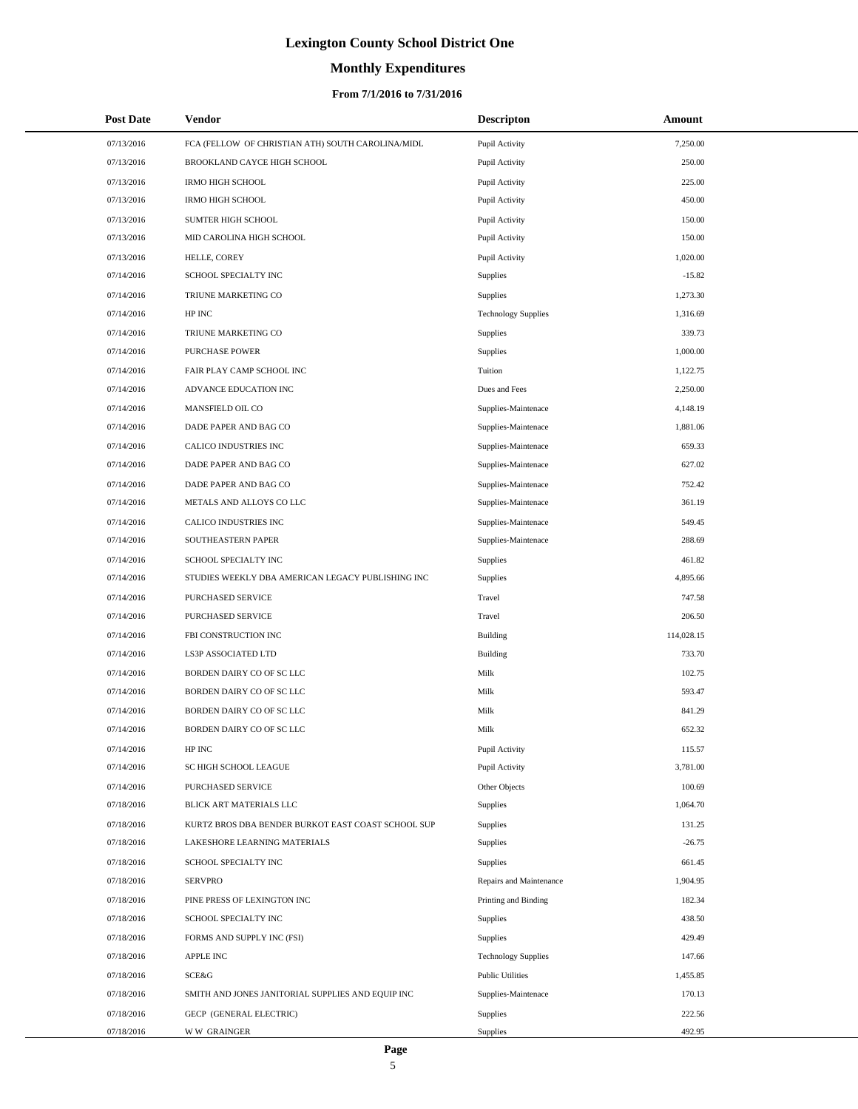# **Monthly Expenditures**

### **From 7/1/2016 to 7/31/2016**

| <b>Post Date</b> | Vendor                                             | <b>Descripton</b>          | Amount     |  |
|------------------|----------------------------------------------------|----------------------------|------------|--|
| 07/13/2016       | FCA (FELLOW OF CHRISTIAN ATH) SOUTH CAROLINA/MIDL  | Pupil Activity             | 7,250.00   |  |
| 07/13/2016       | BROOKLAND CAYCE HIGH SCHOOL                        | Pupil Activity             | 250.00     |  |
| 07/13/2016       | <b>IRMO HIGH SCHOOL</b>                            | Pupil Activity             | 225.00     |  |
| 07/13/2016       | <b>IRMO HIGH SCHOOL</b>                            | Pupil Activity             | 450.00     |  |
| 07/13/2016       | SUMTER HIGH SCHOOL                                 | Pupil Activity             | 150.00     |  |
| 07/13/2016       | MID CAROLINA HIGH SCHOOL                           | Pupil Activity             | 150.00     |  |
| 07/13/2016       | HELLE, COREY                                       | Pupil Activity             | 1,020.00   |  |
| 07/14/2016       | SCHOOL SPECIALTY INC                               | Supplies                   | $-15.82$   |  |
| 07/14/2016       | TRIUNE MARKETING CO                                | Supplies                   | 1,273.30   |  |
| 07/14/2016       | HP INC                                             | <b>Technology Supplies</b> | 1,316.69   |  |
| 07/14/2016       | TRIUNE MARKETING CO                                | Supplies                   | 339.73     |  |
| 07/14/2016       | <b>PURCHASE POWER</b>                              | Supplies                   | 1,000.00   |  |
| 07/14/2016       | FAIR PLAY CAMP SCHOOL INC                          | Tuition                    | 1,122.75   |  |
| 07/14/2016       | ADVANCE EDUCATION INC                              | Dues and Fees              | 2,250.00   |  |
| 07/14/2016       | MANSFIELD OIL CO                                   | Supplies-Maintenace        | 4,148.19   |  |
| 07/14/2016       | DADE PAPER AND BAG CO                              | Supplies-Maintenace        | 1,881.06   |  |
| 07/14/2016       | CALICO INDUSTRIES INC                              | Supplies-Maintenace        | 659.33     |  |
| 07/14/2016       | DADE PAPER AND BAG CO                              | Supplies-Maintenace        | 627.02     |  |
| 07/14/2016       | DADE PAPER AND BAG CO                              | Supplies-Maintenace        | 752.42     |  |
| 07/14/2016       | METALS AND ALLOYS CO LLC                           | Supplies-Maintenace        | 361.19     |  |
| 07/14/2016       | CALICO INDUSTRIES INC                              | Supplies-Maintenace        | 549.45     |  |
| 07/14/2016       | SOUTHEASTERN PAPER                                 | Supplies-Maintenace        | 288.69     |  |
| 07/14/2016       | SCHOOL SPECIALTY INC                               | Supplies                   | 461.82     |  |
| 07/14/2016       | STUDIES WEEKLY DBA AMERICAN LEGACY PUBLISHING INC  | Supplies                   | 4,895.66   |  |
| 07/14/2016       | PURCHASED SERVICE                                  | Travel                     | 747.58     |  |
| 07/14/2016       | PURCHASED SERVICE                                  | Travel                     | 206.50     |  |
| 07/14/2016       | FBI CONSTRUCTION INC                               | <b>Building</b>            | 114,028.15 |  |
| 07/14/2016       | LS3P ASSOCIATED LTD                                | <b>Building</b>            | 733.70     |  |
| 07/14/2016       | BORDEN DAIRY CO OF SC LLC                          | Milk                       | 102.75     |  |
| 07/14/2016       | BORDEN DAIRY CO OF SC LLC                          | Milk                       | 593.47     |  |
| 07/14/2016       | BORDEN DAIRY CO OF SC LLC                          | Milk                       | 841.29     |  |
| 07/14/2016       | BORDEN DAIRY CO OF SC LLC                          | Milk                       | 652.32     |  |
| 07/14/2016       | HP INC                                             | Pupil Activity             | 115.57     |  |
| 07/14/2016       | SC HIGH SCHOOL LEAGUE                              | Pupil Activity             | 3,781.00   |  |
| 07/14/2016       | PURCHASED SERVICE                                  | Other Objects              | 100.69     |  |
| 07/18/2016       | BLICK ART MATERIALS LLC                            | Supplies                   | 1,064.70   |  |
| 07/18/2016       | KURTZ BROS DBA BENDER BURKOT EAST COAST SCHOOL SUP | Supplies                   | 131.25     |  |
| 07/18/2016       | LAKESHORE LEARNING MATERIALS                       | Supplies                   | $-26.75$   |  |
| 07/18/2016       | SCHOOL SPECIALTY INC                               | Supplies                   | 661.45     |  |
| 07/18/2016       | <b>SERVPRO</b>                                     | Repairs and Maintenance    | 1,904.95   |  |
| 07/18/2016       | PINE PRESS OF LEXINGTON INC                        | Printing and Binding       | 182.34     |  |
| 07/18/2016       | SCHOOL SPECIALTY INC                               | Supplies                   | 438.50     |  |
| 07/18/2016       | FORMS AND SUPPLY INC (FSI)                         | Supplies                   | 429.49     |  |
| 07/18/2016       | APPLE INC                                          | <b>Technology Supplies</b> | 147.66     |  |
| 07/18/2016       | SCE&G                                              | <b>Public Utilities</b>    | 1,455.85   |  |
| 07/18/2016       | SMITH AND JONES JANITORIAL SUPPLIES AND EQUIP INC  | Supplies-Maintenace        | 170.13     |  |
| 07/18/2016       | GECP (GENERAL ELECTRIC)                            | Supplies                   | 222.56     |  |
| 07/18/2016       | <b>WW GRAINGER</b>                                 | Supplies                   | 492.95     |  |

 $\overline{a}$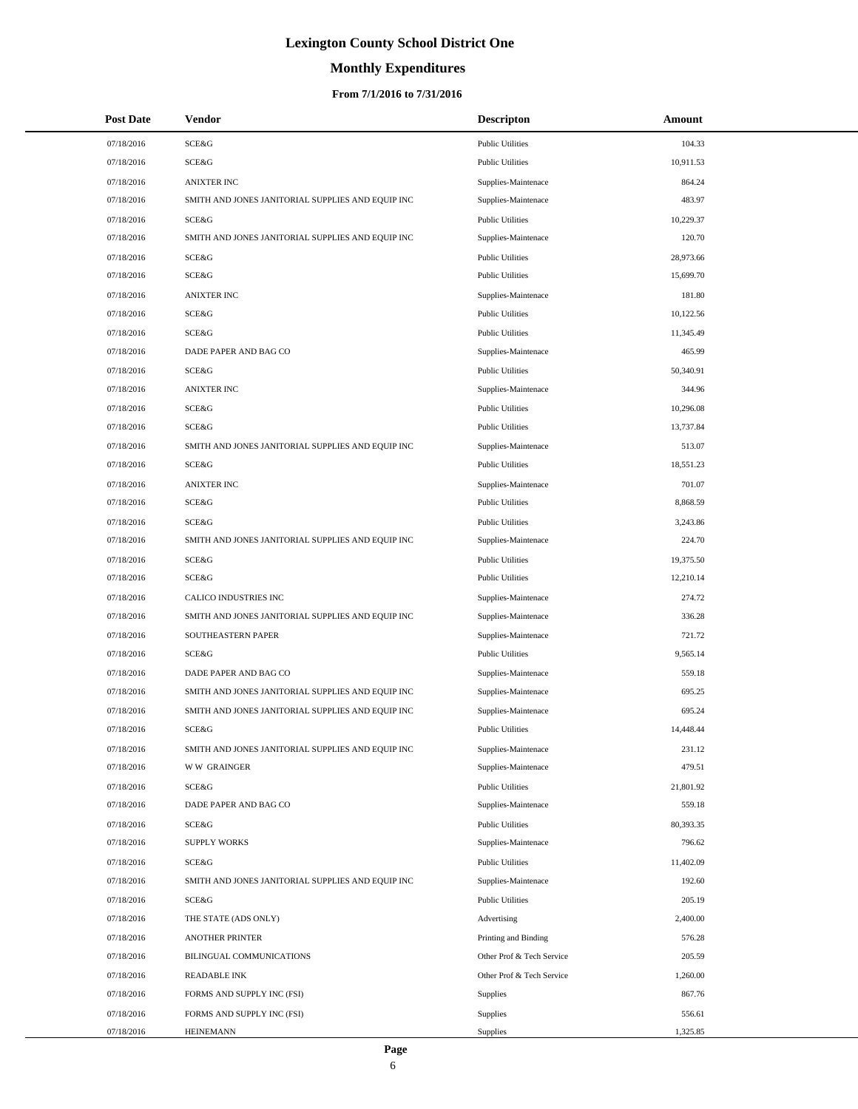# **Monthly Expenditures**

### **From 7/1/2016 to 7/31/2016**

| <b>Post Date</b> | Vendor                                            | <b>Descripton</b>         | Amount    |
|------------------|---------------------------------------------------|---------------------------|-----------|
| 07/18/2016       | SCE&G                                             | <b>Public Utilities</b>   | 104.33    |
| 07/18/2016       | <b>SCE&amp;G</b>                                  | <b>Public Utilities</b>   | 10,911.53 |
| 07/18/2016       | <b>ANIXTER INC</b>                                | Supplies-Maintenace       | 864.24    |
| 07/18/2016       | SMITH AND JONES JANITORIAL SUPPLIES AND EQUIP INC | Supplies-Maintenace       | 483.97    |
| 07/18/2016       | <b>SCE&amp;G</b>                                  | <b>Public Utilities</b>   | 10,229.37 |
| 07/18/2016       | SMITH AND JONES JANITORIAL SUPPLIES AND EQUIP INC | Supplies-Maintenace       | 120.70    |
| 07/18/2016       | SCE&G                                             | <b>Public Utilities</b>   | 28,973.66 |
| 07/18/2016       | SCE&G                                             | <b>Public Utilities</b>   | 15,699.70 |
| 07/18/2016       | <b>ANIXTER INC</b>                                | Supplies-Maintenace       | 181.80    |
| 07/18/2016       | <b>SCE&amp;G</b>                                  | <b>Public Utilities</b>   | 10,122.56 |
| 07/18/2016       | <b>SCE&amp;G</b>                                  | <b>Public Utilities</b>   | 11,345.49 |
| 07/18/2016       | DADE PAPER AND BAG CO                             | Supplies-Maintenace       | 465.99    |
| 07/18/2016       | <b>SCE&amp;G</b>                                  | <b>Public Utilities</b>   | 50,340.91 |
| 07/18/2016       | <b>ANIXTER INC</b>                                | Supplies-Maintenace       | 344.96    |
| 07/18/2016       | SCE&G                                             | <b>Public Utilities</b>   | 10,296.08 |
| 07/18/2016       | SCE&G                                             | <b>Public Utilities</b>   | 13,737.84 |
| 07/18/2016       | SMITH AND JONES JANITORIAL SUPPLIES AND EQUIP INC | Supplies-Maintenace       | 513.07    |
| 07/18/2016       | SCE&G                                             | <b>Public Utilities</b>   | 18,551.23 |
| 07/18/2016       | <b>ANIXTER INC</b>                                | Supplies-Maintenace       | 701.07    |
| 07/18/2016       | <b>SCE&amp;G</b>                                  | <b>Public Utilities</b>   | 8,868.59  |
| 07/18/2016       | SCE&G                                             | <b>Public Utilities</b>   | 3,243.86  |
| 07/18/2016       | SMITH AND JONES JANITORIAL SUPPLIES AND EQUIP INC | Supplies-Maintenace       | 224.70    |
| 07/18/2016       | SCE&G                                             | <b>Public Utilities</b>   | 19,375.50 |
| 07/18/2016       | <b>SCE&amp;G</b>                                  | <b>Public Utilities</b>   | 12,210.14 |
| 07/18/2016       | CALICO INDUSTRIES INC                             | Supplies-Maintenace       | 274.72    |
| 07/18/2016       | SMITH AND JONES JANITORIAL SUPPLIES AND EQUIP INC | Supplies-Maintenace       | 336.28    |
| 07/18/2016       | SOUTHEASTERN PAPER                                | Supplies-Maintenace       | 721.72    |
| 07/18/2016       | <b>SCE&amp;G</b>                                  | <b>Public Utilities</b>   | 9,565.14  |
| 07/18/2016       | DADE PAPER AND BAG CO                             | Supplies-Maintenace       | 559.18    |
| 07/18/2016       | SMITH AND JONES JANITORIAL SUPPLIES AND EQUIP INC | Supplies-Maintenace       | 695.25    |
| 07/18/2016       | SMITH AND JONES JANITORIAL SUPPLIES AND EQUIP INC | Supplies-Maintenace       | 695.24    |
| 07/18/2016       | SCE&G                                             | <b>Public Utilities</b>   | 14,448.44 |
| 07/18/2016       | SMITH AND JONES JANITORIAL SUPPLIES AND EQUIP INC | Supplies-Maintenace       | 231.12    |
| 07/18/2016       | <b>WW GRAINGER</b>                                | Supplies-Maintenace       | 479.51    |
| 07/18/2016       | SCE&G                                             | <b>Public Utilities</b>   | 21,801.92 |
| 07/18/2016       | DADE PAPER AND BAG CO                             | Supplies-Maintenace       | 559.18    |
| 07/18/2016       | SCE&G                                             | <b>Public Utilities</b>   | 80,393.35 |
| 07/18/2016       | <b>SUPPLY WORKS</b>                               | Supplies-Maintenace       | 796.62    |
| 07/18/2016       | SCE&G                                             | <b>Public Utilities</b>   | 11,402.09 |
| 07/18/2016       | SMITH AND JONES JANITORIAL SUPPLIES AND EQUIP INC | Supplies-Maintenace       | 192.60    |
| 07/18/2016       | SCE&G                                             | <b>Public Utilities</b>   | 205.19    |
| 07/18/2016       | THE STATE (ADS ONLY)                              | Advertising               | 2,400.00  |
| 07/18/2016       | <b>ANOTHER PRINTER</b>                            | Printing and Binding      | 576.28    |
| 07/18/2016       | BILINGUAL COMMUNICATIONS                          | Other Prof & Tech Service | 205.59    |
| 07/18/2016       | <b>READABLE INK</b>                               | Other Prof & Tech Service | 1,260.00  |
| 07/18/2016       | FORMS AND SUPPLY INC (FSI)                        | <b>Supplies</b>           | 867.76    |
| 07/18/2016       | FORMS AND SUPPLY INC (FSI)                        | Supplies                  | 556.61    |
| 07/18/2016       | <b>HEINEMANN</b>                                  | Supplies                  | 1,325.85  |

 $\overline{\phantom{a}}$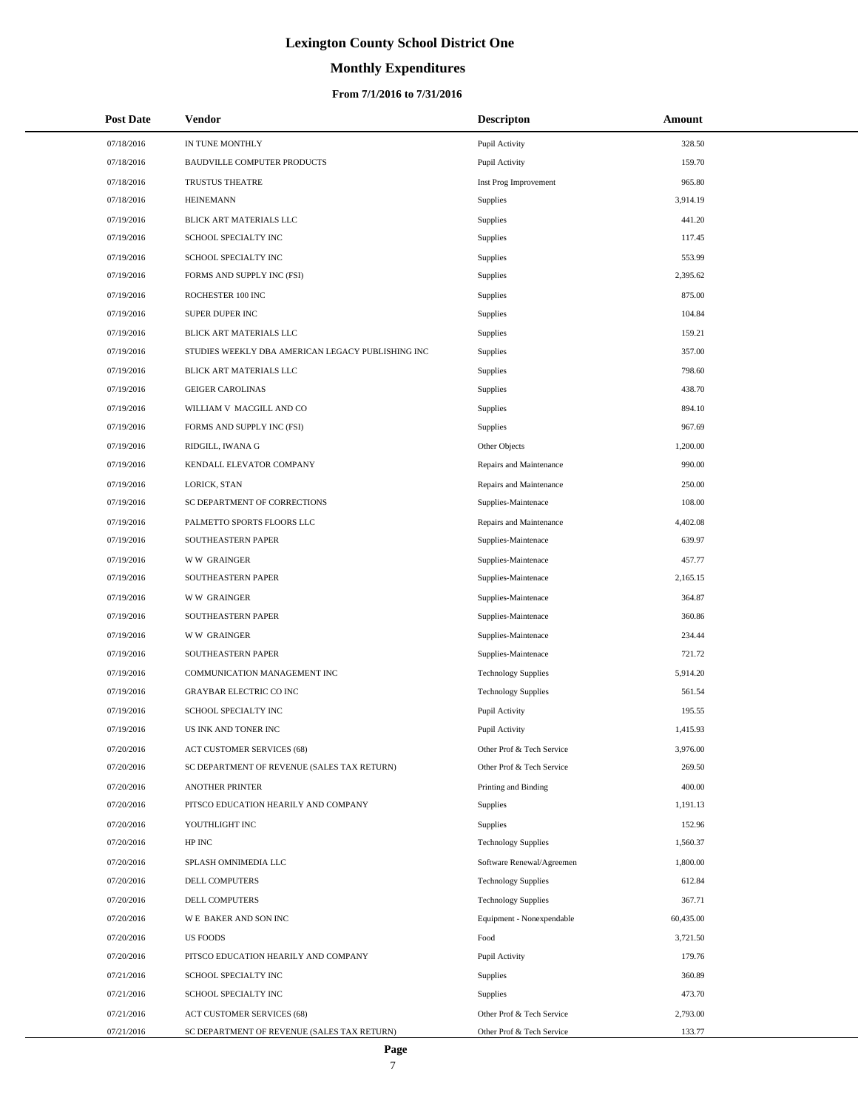# **Monthly Expenditures**

### **From 7/1/2016 to 7/31/2016**

| <b>Post Date</b> | Vendor                                            | <b>Descripton</b>          | Amount    |  |
|------------------|---------------------------------------------------|----------------------------|-----------|--|
| 07/18/2016       | IN TUNE MONTHLY                                   | Pupil Activity             | 328.50    |  |
| 07/18/2016       | <b>BAUDVILLE COMPUTER PRODUCTS</b>                | Pupil Activity             | 159.70    |  |
| 07/18/2016       | <b>TRUSTUS THEATRE</b>                            | Inst Prog Improvement      | 965.80    |  |
| 07/18/2016       | <b>HEINEMANN</b>                                  | <b>Supplies</b>            | 3,914.19  |  |
| 07/19/2016       | BLICK ART MATERIALS LLC                           | Supplies                   | 441.20    |  |
| 07/19/2016       | SCHOOL SPECIALTY INC                              | Supplies                   | 117.45    |  |
| 07/19/2016       | SCHOOL SPECIALTY INC                              | Supplies                   | 553.99    |  |
| 07/19/2016       | FORMS AND SUPPLY INC (FSI)                        | Supplies                   | 2,395.62  |  |
| 07/19/2016       | ROCHESTER 100 INC                                 | Supplies                   | 875.00    |  |
| 07/19/2016       | SUPER DUPER INC                                   | Supplies                   | 104.84    |  |
| 07/19/2016       | BLICK ART MATERIALS LLC                           | Supplies                   | 159.21    |  |
| 07/19/2016       | STUDIES WEEKLY DBA AMERICAN LEGACY PUBLISHING INC | Supplies                   | 357.00    |  |
| 07/19/2016       | BLICK ART MATERIALS LLC                           | Supplies                   | 798.60    |  |
| 07/19/2016       | <b>GEIGER CAROLINAS</b>                           | Supplies                   | 438.70    |  |
| 07/19/2016       | WILLIAM V MACGILL AND CO                          | Supplies                   | 894.10    |  |
| 07/19/2016       | FORMS AND SUPPLY INC (FSI)                        | Supplies                   | 967.69    |  |
| 07/19/2016       | RIDGILL, IWANA G                                  | Other Objects              | 1,200.00  |  |
| 07/19/2016       | KENDALL ELEVATOR COMPANY                          | Repairs and Maintenance    | 990.00    |  |
| 07/19/2016       | LORICK, STAN                                      | Repairs and Maintenance    | 250.00    |  |
| 07/19/2016       | SC DEPARTMENT OF CORRECTIONS                      | Supplies-Maintenace        | 108.00    |  |
| 07/19/2016       | PALMETTO SPORTS FLOORS LLC                        | Repairs and Maintenance    | 4,402.08  |  |
| 07/19/2016       | SOUTHEASTERN PAPER                                | Supplies-Maintenace        | 639.97    |  |
| 07/19/2016       | <b>WW GRAINGER</b>                                | Supplies-Maintenace        | 457.77    |  |
| 07/19/2016       | SOUTHEASTERN PAPER                                | Supplies-Maintenace        | 2,165.15  |  |
| 07/19/2016       | <b>WW GRAINGER</b>                                | Supplies-Maintenace        | 364.87    |  |
| 07/19/2016       | SOUTHEASTERN PAPER                                | Supplies-Maintenace        | 360.86    |  |
| 07/19/2016       | <b>WW GRAINGER</b>                                | Supplies-Maintenace        | 234.44    |  |
| 07/19/2016       | SOUTHEASTERN PAPER                                | Supplies-Maintenace        | 721.72    |  |
| 07/19/2016       | COMMUNICATION MANAGEMENT INC                      | <b>Technology Supplies</b> | 5,914.20  |  |
| 07/19/2016       | GRAYBAR ELECTRIC CO INC                           | <b>Technology Supplies</b> | 561.54    |  |
| 07/19/2016       | SCHOOL SPECIALTY INC                              | Pupil Activity             | 195.55    |  |
| 07/19/2016       | US INK AND TONER INC                              | Pupil Activity             | 1,415.93  |  |
| 07/20/2016       | <b>ACT CUSTOMER SERVICES (68)</b>                 | Other Prof & Tech Service  | 3,976.00  |  |
| 07/20/2016       | SC DEPARTMENT OF REVENUE (SALES TAX RETURN)       | Other Prof & Tech Service  | 269.50    |  |
| 07/20/2016       | <b>ANOTHER PRINTER</b>                            | Printing and Binding       | 400.00    |  |
| 07/20/2016       | PITSCO EDUCATION HEARILY AND COMPANY              | Supplies                   | 1,191.13  |  |
| 07/20/2016       | YOUTHLIGHT INC                                    | Supplies                   | 152.96    |  |
| 07/20/2016       | HP INC                                            | <b>Technology Supplies</b> | 1,560.37  |  |
| 07/20/2016       | SPLASH OMNIMEDIA LLC                              | Software Renewal/Agreemen  | 1,800.00  |  |
| 07/20/2016       | DELL COMPUTERS                                    | <b>Technology Supplies</b> | 612.84    |  |
| 07/20/2016       | DELL COMPUTERS                                    | <b>Technology Supplies</b> | 367.71    |  |
| 07/20/2016       | WE BAKER AND SON INC                              | Equipment - Nonexpendable  | 60,435.00 |  |
| 07/20/2016       | <b>US FOODS</b>                                   | Food                       | 3,721.50  |  |
| 07/20/2016       | PITSCO EDUCATION HEARILY AND COMPANY              | Pupil Activity             | 179.76    |  |
| 07/21/2016       | SCHOOL SPECIALTY INC                              | Supplies                   | 360.89    |  |
| 07/21/2016       | SCHOOL SPECIALTY INC                              | Supplies                   | 473.70    |  |
| 07/21/2016       | ACT CUSTOMER SERVICES (68)                        | Other Prof & Tech Service  | 2,793.00  |  |
| 07/21/2016       | SC DEPARTMENT OF REVENUE (SALES TAX RETURN)       | Other Prof & Tech Service  | 133.77    |  |

 $\overline{a}$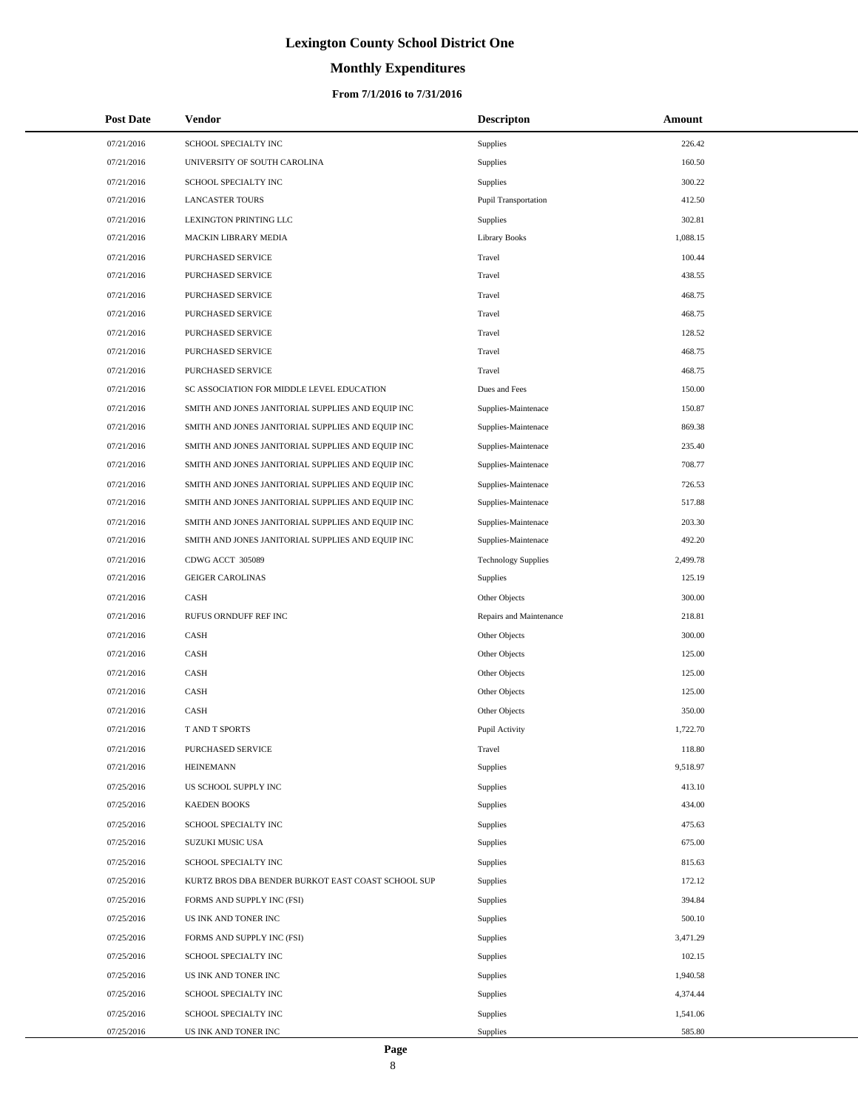# **Monthly Expenditures**

### **From 7/1/2016 to 7/31/2016**

| <b>Post Date</b> | Vendor                                             | <b>Descripton</b>           | Amount   |  |
|------------------|----------------------------------------------------|-----------------------------|----------|--|
| 07/21/2016       | SCHOOL SPECIALTY INC                               | <b>Supplies</b>             | 226.42   |  |
| 07/21/2016       | UNIVERSITY OF SOUTH CAROLINA                       | <b>Supplies</b>             | 160.50   |  |
| 07/21/2016       | SCHOOL SPECIALTY INC                               | <b>Supplies</b>             | 300.22   |  |
| 07/21/2016       | <b>LANCASTER TOURS</b>                             | <b>Pupil Transportation</b> | 412.50   |  |
| 07/21/2016       | LEXINGTON PRINTING LLC                             | Supplies                    | 302.81   |  |
| 07/21/2016       | <b>MACKIN LIBRARY MEDIA</b>                        | <b>Library Books</b>        | 1,088.15 |  |
| 07/21/2016       | PURCHASED SERVICE                                  | Travel                      | 100.44   |  |
| 07/21/2016       | PURCHASED SERVICE                                  | Travel                      | 438.55   |  |
| 07/21/2016       | PURCHASED SERVICE                                  | Travel                      | 468.75   |  |
| 07/21/2016       | PURCHASED SERVICE                                  | Travel                      | 468.75   |  |
| 07/21/2016       | PURCHASED SERVICE                                  | Travel                      | 128.52   |  |
| 07/21/2016       | PURCHASED SERVICE                                  | Travel                      | 468.75   |  |
| 07/21/2016       | PURCHASED SERVICE                                  | Travel                      | 468.75   |  |
| 07/21/2016       | SC ASSOCIATION FOR MIDDLE LEVEL EDUCATION          | Dues and Fees               | 150.00   |  |
| 07/21/2016       | SMITH AND JONES JANITORIAL SUPPLIES AND EQUIP INC  | Supplies-Maintenace         | 150.87   |  |
| 07/21/2016       | SMITH AND JONES JANITORIAL SUPPLIES AND EQUIP INC  | Supplies-Maintenace         | 869.38   |  |
| 07/21/2016       | SMITH AND JONES JANITORIAL SUPPLIES AND EQUIP INC  | Supplies-Maintenace         | 235.40   |  |
| 07/21/2016       | SMITH AND JONES JANITORIAL SUPPLIES AND EQUIP INC  | Supplies-Maintenace         | 708.77   |  |
| 07/21/2016       | SMITH AND JONES JANITORIAL SUPPLIES AND EQUIP INC  | Supplies-Maintenace         | 726.53   |  |
| 07/21/2016       | SMITH AND JONES JANITORIAL SUPPLIES AND EQUIP INC  | Supplies-Maintenace         | 517.88   |  |
| 07/21/2016       | SMITH AND JONES JANITORIAL SUPPLIES AND EQUIP INC  | Supplies-Maintenace         | 203.30   |  |
| 07/21/2016       | SMITH AND JONES JANITORIAL SUPPLIES AND EQUIP INC  | Supplies-Maintenace         | 492.20   |  |
| 07/21/2016       | CDWG ACCT 305089                                   | <b>Technology Supplies</b>  | 2,499.78 |  |
| 07/21/2016       | <b>GEIGER CAROLINAS</b>                            | Supplies                    | 125.19   |  |
| 07/21/2016       | CASH                                               | Other Objects               | 300.00   |  |
| 07/21/2016       | RUFUS ORNDUFF REF INC                              | Repairs and Maintenance     | 218.81   |  |
| 07/21/2016       | CASH                                               | Other Objects               | 300.00   |  |
| 07/21/2016       | CASH                                               | Other Objects               | 125.00   |  |
| 07/21/2016       | <b>CASH</b>                                        | Other Objects               | 125.00   |  |
| 07/21/2016       | CASH                                               | Other Objects               | 125.00   |  |
| 07/21/2016       | CASH                                               | Other Objects               | 350.00   |  |
| 07/21/2016       | T AND T SPORTS                                     | Pupil Activity              | 1,722.70 |  |
| 07/21/2016       | PURCHASED SERVICE                                  | Travel                      | 118.80   |  |
| 07/21/2016       | <b>HEINEMANN</b>                                   | <b>Supplies</b>             | 9,518.97 |  |
| 07/25/2016       | US SCHOOL SUPPLY INC                               | <b>Supplies</b>             | 413.10   |  |
| 07/25/2016       | <b>KAEDEN BOOKS</b>                                | Supplies                    | 434.00   |  |
| 07/25/2016       | SCHOOL SPECIALTY INC                               | Supplies                    | 475.63   |  |
| 07/25/2016       | SUZUKI MUSIC USA                                   | <b>Supplies</b>             | 675.00   |  |
| 07/25/2016       | SCHOOL SPECIALTY INC                               | Supplies                    | 815.63   |  |
| 07/25/2016       | KURTZ BROS DBA BENDER BURKOT EAST COAST SCHOOL SUP | <b>Supplies</b>             | 172.12   |  |
| 07/25/2016       | FORMS AND SUPPLY INC (FSI)                         | Supplies                    | 394.84   |  |
| 07/25/2016       | US INK AND TONER INC                               | Supplies                    | 500.10   |  |
| 07/25/2016       | FORMS AND SUPPLY INC (FSI)                         | Supplies                    | 3,471.29 |  |
| 07/25/2016       | SCHOOL SPECIALTY INC                               | Supplies                    | 102.15   |  |
| 07/25/2016       | US INK AND TONER INC                               | Supplies                    | 1,940.58 |  |
| 07/25/2016       | SCHOOL SPECIALTY INC                               | Supplies                    | 4,374.44 |  |
| 07/25/2016       | SCHOOL SPECIALTY INC                               | Supplies                    | 1,541.06 |  |
| 07/25/2016       | US INK AND TONER INC                               | Supplies                    | 585.80   |  |

 $\overline{\phantom{0}}$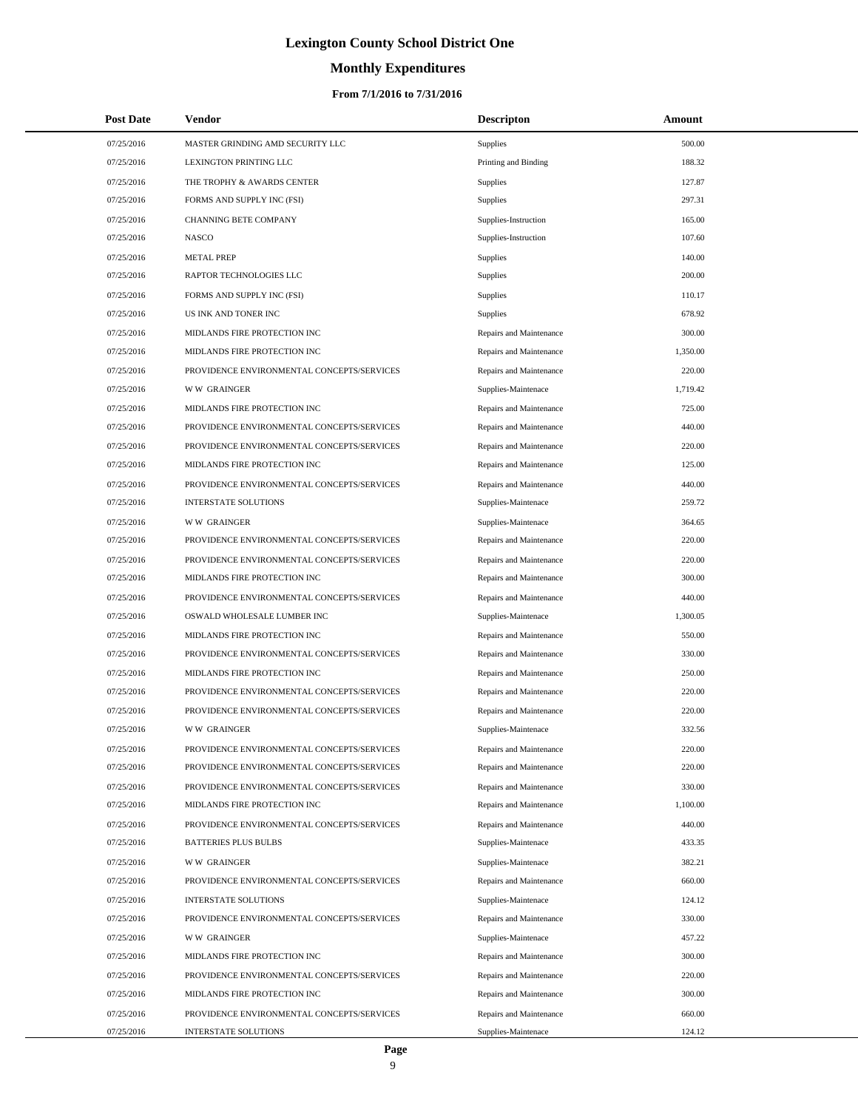# **Monthly Expenditures**

| <b>Post Date</b>         | Vendor                                                                     | <b>Descripton</b>                              | <b>Amount</b>    |
|--------------------------|----------------------------------------------------------------------------|------------------------------------------------|------------------|
| 07/25/2016               | MASTER GRINDING AMD SECURITY LLC                                           | Supplies                                       | 500.00           |
| 07/25/2016               | LEXINGTON PRINTING LLC                                                     | Printing and Binding                           | 188.32           |
| 07/25/2016               | THE TROPHY & AWARDS CENTER                                                 | Supplies                                       | 127.87           |
| 07/25/2016               | FORMS AND SUPPLY INC (FSI)                                                 | Supplies                                       | 297.31           |
| 07/25/2016               | <b>CHANNING BETE COMPANY</b>                                               | Supplies-Instruction                           | 165.00           |
| 07/25/2016               | <b>NASCO</b>                                                               | Supplies-Instruction                           | 107.60           |
| 07/25/2016               | <b>METAL PREP</b>                                                          | <b>Supplies</b>                                | 140.00           |
| 07/25/2016               | RAPTOR TECHNOLOGIES LLC                                                    | Supplies                                       | 200.00           |
| 07/25/2016               | FORMS AND SUPPLY INC (FSI)                                                 | Supplies                                       | 110.17           |
| 07/25/2016               | US INK AND TONER INC                                                       | Supplies                                       | 678.92           |
| 07/25/2016               | MIDLANDS FIRE PROTECTION INC                                               | Repairs and Maintenance                        | 300.00           |
| 07/25/2016               | MIDLANDS FIRE PROTECTION INC                                               | Repairs and Maintenance                        | 1,350.00         |
| 07/25/2016               | PROVIDENCE ENVIRONMENTAL CONCEPTS/SERVICES                                 | Repairs and Maintenance                        | 220.00           |
| 07/25/2016               | W W GRAINGER                                                               | Supplies-Maintenace                            | 1,719.42         |
| 07/25/2016               | MIDLANDS FIRE PROTECTION INC                                               | Repairs and Maintenance                        | 725.00           |
| 07/25/2016               | PROVIDENCE ENVIRONMENTAL CONCEPTS/SERVICES                                 | Repairs and Maintenance                        | 440.00           |
| 07/25/2016               | PROVIDENCE ENVIRONMENTAL CONCEPTS/SERVICES                                 | Repairs and Maintenance                        | 220.00           |
| 07/25/2016               | MIDLANDS FIRE PROTECTION INC                                               | Repairs and Maintenance                        | 125.00           |
| 07/25/2016               | PROVIDENCE ENVIRONMENTAL CONCEPTS/SERVICES                                 | Repairs and Maintenance                        | 440.00           |
| 07/25/2016               | <b>INTERSTATE SOLUTIONS</b>                                                | Supplies-Maintenace                            | 259.72           |
| 07/25/2016               | <b>WW GRAINGER</b>                                                         | Supplies-Maintenace                            | 364.65           |
| 07/25/2016               | PROVIDENCE ENVIRONMENTAL CONCEPTS/SERVICES                                 | Repairs and Maintenance                        | 220.00           |
| 07/25/2016               | PROVIDENCE ENVIRONMENTAL CONCEPTS/SERVICES                                 | Repairs and Maintenance                        | 220.00           |
| 07/25/2016               | MIDLANDS FIRE PROTECTION INC                                               | Repairs and Maintenance                        | 300.00           |
| 07/25/2016               | PROVIDENCE ENVIRONMENTAL CONCEPTS/SERVICES                                 | Repairs and Maintenance                        | 440.00           |
| 07/25/2016               | OSWALD WHOLESALE LUMBER INC                                                | Supplies-Maintenace                            | 1,300.05         |
| 07/25/2016               | MIDLANDS FIRE PROTECTION INC                                               | Repairs and Maintenance                        | 550.00           |
| 07/25/2016               | PROVIDENCE ENVIRONMENTAL CONCEPTS/SERVICES                                 | Repairs and Maintenance                        | 330.00           |
| 07/25/2016               | MIDLANDS FIRE PROTECTION INC                                               | Repairs and Maintenance                        | 250.00           |
| 07/25/2016               | PROVIDENCE ENVIRONMENTAL CONCEPTS/SERVICES                                 | Repairs and Maintenance                        | 220.00           |
| 07/25/2016               | PROVIDENCE ENVIRONMENTAL CONCEPTS/SERVICES                                 | Repairs and Maintenance                        | 220.00           |
| 07/25/2016               | W W GRAINGER                                                               | Supplies-Maintenace                            | 332.56           |
| 07/25/2016               | PROVIDENCE ENVIRONMENTAL CONCEPTS/SERVICES                                 | Repairs and Maintenance                        | 220.00           |
| 07/25/2016               | PROVIDENCE ENVIRONMENTAL CONCEPTS/SERVICES                                 | Repairs and Maintenance                        | 220.00           |
| 07/25/2016               | PROVIDENCE ENVIRONMENTAL CONCEPTS/SERVICES                                 | Repairs and Maintenance                        | 330.00           |
| 07/25/2016               | MIDLANDS FIRE PROTECTION INC                                               | Repairs and Maintenance                        | 1,100.00         |
| 07/25/2016               | PROVIDENCE ENVIRONMENTAL CONCEPTS/SERVICES                                 | Repairs and Maintenance                        | 440.00           |
| 07/25/2016               | <b>BATTERIES PLUS BULBS</b>                                                | Supplies-Maintenace                            | 433.35           |
| 07/25/2016               | <b>WW GRAINGER</b>                                                         | Supplies-Maintenace                            | 382.21           |
| 07/25/2016               | PROVIDENCE ENVIRONMENTAL CONCEPTS/SERVICES                                 | Repairs and Maintenance                        | 660.00           |
| 07/25/2016               | <b>INTERSTATE SOLUTIONS</b><br>PROVIDENCE ENVIRONMENTAL CONCEPTS/SERVICES  | Supplies-Maintenace                            | 124.12           |
| 07/25/2016               |                                                                            | Repairs and Maintenance                        | 330.00           |
| 07/25/2016               | <b>WW GRAINGER</b>                                                         | Supplies-Maintenace                            | 457.22           |
| 07/25/2016               | MIDLANDS FIRE PROTECTION INC                                               | Repairs and Maintenance                        | 300.00           |
| 07/25/2016<br>07/25/2016 | PROVIDENCE ENVIRONMENTAL CONCEPTS/SERVICES<br>MIDLANDS FIRE PROTECTION INC | Repairs and Maintenance                        | 220.00<br>300.00 |
| 07/25/2016               | PROVIDENCE ENVIRONMENTAL CONCEPTS/SERVICES                                 | Repairs and Maintenance                        | 660.00           |
| 07/25/2016               | <b>INTERSTATE SOLUTIONS</b>                                                | Repairs and Maintenance<br>Supplies-Maintenace | 124.12           |
|                          |                                                                            |                                                |                  |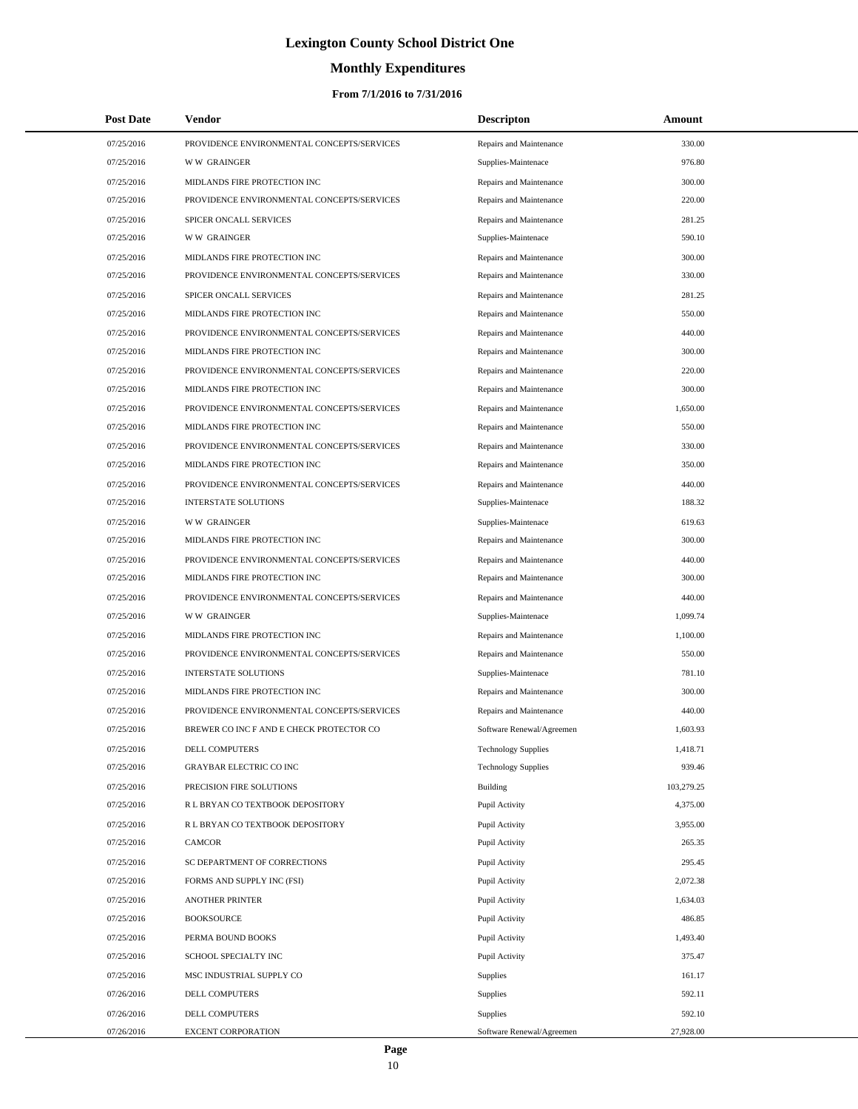# **Monthly Expenditures**

| <b>Post Date</b> | <b>Vendor</b>                              | <b>Descripton</b>          | Amount     |
|------------------|--------------------------------------------|----------------------------|------------|
| 07/25/2016       | PROVIDENCE ENVIRONMENTAL CONCEPTS/SERVICES | Repairs and Maintenance    | 330.00     |
| 07/25/2016       | <b>WW GRAINGER</b>                         | Supplies-Maintenace        | 976.80     |
| 07/25/2016       | MIDLANDS FIRE PROTECTION INC               | Repairs and Maintenance    | 300.00     |
| 07/25/2016       | PROVIDENCE ENVIRONMENTAL CONCEPTS/SERVICES | Repairs and Maintenance    | 220.00     |
| 07/25/2016       | SPICER ONCALL SERVICES                     | Repairs and Maintenance    | 281.25     |
| 07/25/2016       | <b>WW GRAINGER</b>                         | Supplies-Maintenace        | 590.10     |
| 07/25/2016       | MIDLANDS FIRE PROTECTION INC               | Repairs and Maintenance    | 300.00     |
| 07/25/2016       | PROVIDENCE ENVIRONMENTAL CONCEPTS/SERVICES | Repairs and Maintenance    | 330.00     |
| 07/25/2016       | SPICER ONCALL SERVICES                     | Repairs and Maintenance    | 281.25     |
| 07/25/2016       | MIDLANDS FIRE PROTECTION INC               | Repairs and Maintenance    | 550.00     |
| 07/25/2016       | PROVIDENCE ENVIRONMENTAL CONCEPTS/SERVICES | Repairs and Maintenance    | 440.00     |
| 07/25/2016       | MIDLANDS FIRE PROTECTION INC               | Repairs and Maintenance    | 300.00     |
| 07/25/2016       | PROVIDENCE ENVIRONMENTAL CONCEPTS/SERVICES | Repairs and Maintenance    | 220.00     |
| 07/25/2016       | MIDLANDS FIRE PROTECTION INC               | Repairs and Maintenance    | 300.00     |
| 07/25/2016       | PROVIDENCE ENVIRONMENTAL CONCEPTS/SERVICES | Repairs and Maintenance    | 1,650.00   |
| 07/25/2016       | MIDLANDS FIRE PROTECTION INC               | Repairs and Maintenance    | 550.00     |
| 07/25/2016       | PROVIDENCE ENVIRONMENTAL CONCEPTS/SERVICES | Repairs and Maintenance    | 330.00     |
| 07/25/2016       | MIDLANDS FIRE PROTECTION INC               | Repairs and Maintenance    | 350.00     |
| 07/25/2016       | PROVIDENCE ENVIRONMENTAL CONCEPTS/SERVICES | Repairs and Maintenance    | 440.00     |
| 07/25/2016       | <b>INTERSTATE SOLUTIONS</b>                | Supplies-Maintenace        | 188.32     |
| 07/25/2016       | <b>WW GRAINGER</b>                         | Supplies-Maintenace        | 619.63     |
| 07/25/2016       | MIDLANDS FIRE PROTECTION INC               | Repairs and Maintenance    | 300.00     |
| 07/25/2016       | PROVIDENCE ENVIRONMENTAL CONCEPTS/SERVICES | Repairs and Maintenance    | 440.00     |
| 07/25/2016       | MIDLANDS FIRE PROTECTION INC               | Repairs and Maintenance    | 300.00     |
| 07/25/2016       | PROVIDENCE ENVIRONMENTAL CONCEPTS/SERVICES | Repairs and Maintenance    | 440.00     |
| 07/25/2016       | <b>WW GRAINGER</b>                         | Supplies-Maintenace        | 1,099.74   |
| 07/25/2016       | MIDLANDS FIRE PROTECTION INC               | Repairs and Maintenance    | 1,100.00   |
| 07/25/2016       | PROVIDENCE ENVIRONMENTAL CONCEPTS/SERVICES | Repairs and Maintenance    | 550.00     |
| 07/25/2016       | <b>INTERSTATE SOLUTIONS</b>                | Supplies-Maintenace        | 781.10     |
| 07/25/2016       | MIDLANDS FIRE PROTECTION INC               | Repairs and Maintenance    | 300.00     |
| 07/25/2016       | PROVIDENCE ENVIRONMENTAL CONCEPTS/SERVICES | Repairs and Maintenance    | 440.00     |
| 07/25/2016       | BREWER CO INC F AND E CHECK PROTECTOR CO   | Software Renewal/Agreemen  | 1,603.93   |
| 07/25/2016       | DELL COMPUTERS                             | <b>Technology Supplies</b> | 1,418.71   |
| 07/25/2016       | <b>GRAYBAR ELECTRIC CO INC</b>             | <b>Technology Supplies</b> | 939.46     |
| 07/25/2016       | PRECISION FIRE SOLUTIONS                   | Building                   | 103,279.25 |
| 07/25/2016       | R L BRYAN CO TEXTBOOK DEPOSITORY           | Pupil Activity             | 4,375.00   |
| 07/25/2016       | R L BRYAN CO TEXTBOOK DEPOSITORY           | Pupil Activity             | 3,955.00   |
| 07/25/2016       | CAMCOR                                     | Pupil Activity             | 265.35     |
| 07/25/2016       | SC DEPARTMENT OF CORRECTIONS               | Pupil Activity             | 295.45     |
| 07/25/2016       | FORMS AND SUPPLY INC (FSI)                 | Pupil Activity             | 2,072.38   |
| 07/25/2016       | <b>ANOTHER PRINTER</b>                     | Pupil Activity             | 1,634.03   |
| 07/25/2016       | <b>BOOKSOURCE</b>                          | Pupil Activity             | 486.85     |
| 07/25/2016       | PERMA BOUND BOOKS                          | Pupil Activity             | 1,493.40   |
| 07/25/2016       | SCHOOL SPECIALTY INC                       | Pupil Activity             | 375.47     |
| 07/25/2016       | MSC INDUSTRIAL SUPPLY CO                   | Supplies                   | 161.17     |
| 07/26/2016       | DELL COMPUTERS                             | Supplies                   | 592.11     |
| 07/26/2016       | DELL COMPUTERS                             | Supplies                   | 592.10     |
| 07/26/2016       | EXCENT CORPORATION                         | Software Renewal/Agreemen  | 27,928.00  |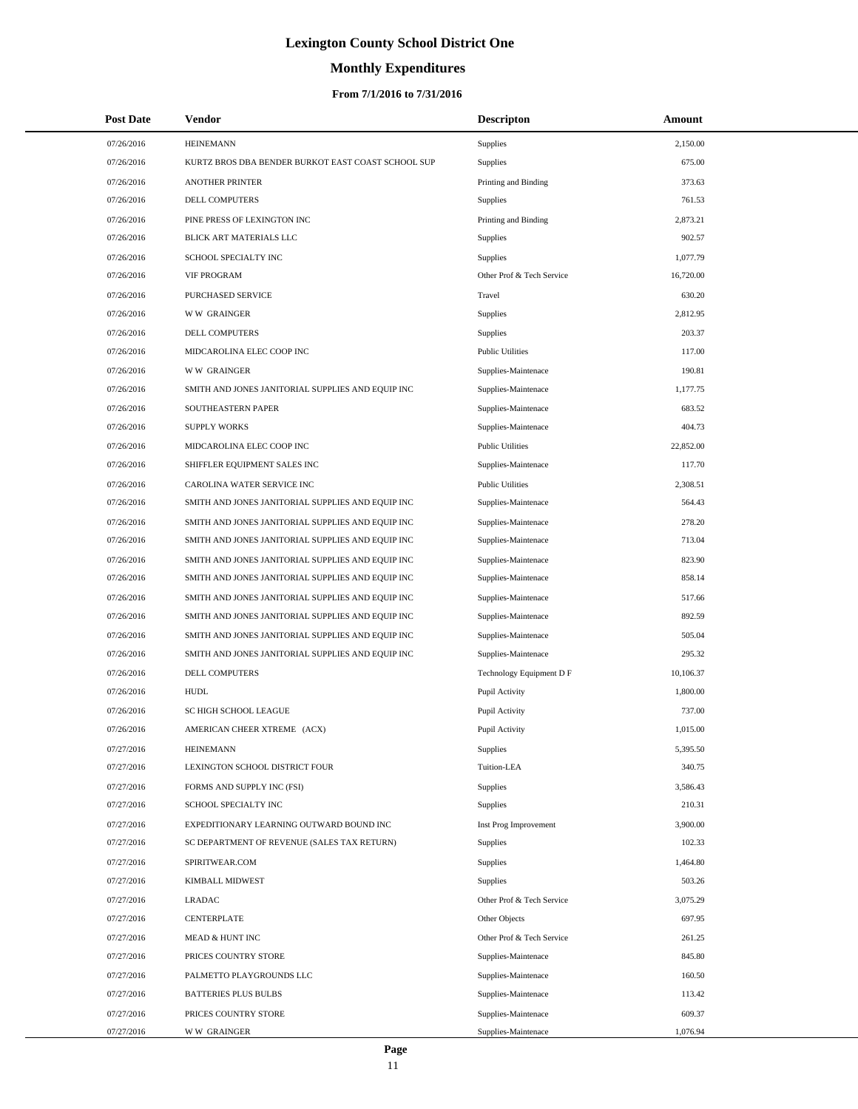# **Monthly Expenditures**

| <b>Post Date</b> | Vendor                                             | <b>Descripton</b>         | Amount    |  |
|------------------|----------------------------------------------------|---------------------------|-----------|--|
| 07/26/2016       | <b>HEINEMANN</b>                                   | Supplies                  | 2,150.00  |  |
| 07/26/2016       | KURTZ BROS DBA BENDER BURKOT EAST COAST SCHOOL SUP | Supplies                  | 675.00    |  |
| 07/26/2016       | <b>ANOTHER PRINTER</b>                             | Printing and Binding      | 373.63    |  |
| 07/26/2016       | DELL COMPUTERS                                     | Supplies                  | 761.53    |  |
| 07/26/2016       | PINE PRESS OF LEXINGTON INC                        | Printing and Binding      | 2,873.21  |  |
| 07/26/2016       | BLICK ART MATERIALS LLC                            | Supplies                  | 902.57    |  |
| 07/26/2016       | <b>SCHOOL SPECIALTY INC</b>                        | <b>Supplies</b>           | 1,077.79  |  |
| 07/26/2016       | <b>VIF PROGRAM</b>                                 | Other Prof & Tech Service | 16,720.00 |  |
| 07/26/2016       | PURCHASED SERVICE                                  | Travel                    | 630.20    |  |
| 07/26/2016       | <b>WW GRAINGER</b>                                 | Supplies                  | 2,812.95  |  |
| 07/26/2016       | DELL COMPUTERS                                     | Supplies                  | 203.37    |  |
| 07/26/2016       | MIDCAROLINA ELEC COOP INC                          | <b>Public Utilities</b>   | 117.00    |  |
| 07/26/2016       | <b>WW GRAINGER</b>                                 | Supplies-Maintenace       | 190.81    |  |
| 07/26/2016       | SMITH AND JONES JANITORIAL SUPPLIES AND EQUIP INC  | Supplies-Maintenace       | 1,177.75  |  |
| 07/26/2016       | SOUTHEASTERN PAPER                                 | Supplies-Maintenace       | 683.52    |  |
| 07/26/2016       | <b>SUPPLY WORKS</b>                                | Supplies-Maintenace       | 404.73    |  |
| 07/26/2016       | MIDCAROLINA ELEC COOP INC                          | <b>Public Utilities</b>   | 22,852.00 |  |
| 07/26/2016       | SHIFFLER EQUIPMENT SALES INC                       | Supplies-Maintenace       | 117.70    |  |
| 07/26/2016       | CAROLINA WATER SERVICE INC                         | <b>Public Utilities</b>   | 2,308.51  |  |
| 07/26/2016       | SMITH AND JONES JANITORIAL SUPPLIES AND EQUIP INC  | Supplies-Maintenace       | 564.43    |  |
| 07/26/2016       | SMITH AND JONES JANITORIAL SUPPLIES AND EQUIP INC  | Supplies-Maintenace       | 278.20    |  |
| 07/26/2016       | SMITH AND JONES JANITORIAL SUPPLIES AND EQUIP INC  | Supplies-Maintenace       | 713.04    |  |
| 07/26/2016       | SMITH AND JONES JANITORIAL SUPPLIES AND EQUIP INC  | Supplies-Maintenace       | 823.90    |  |
| 07/26/2016       | SMITH AND JONES JANITORIAL SUPPLIES AND EQUIP INC  | Supplies-Maintenace       | 858.14    |  |
| 07/26/2016       | SMITH AND JONES JANITORIAL SUPPLIES AND EQUIP INC  | Supplies-Maintenace       | 517.66    |  |
| 07/26/2016       | SMITH AND JONES JANITORIAL SUPPLIES AND EQUIP INC  | Supplies-Maintenace       | 892.59    |  |
| 07/26/2016       | SMITH AND JONES JANITORIAL SUPPLIES AND EQUIP INC  | Supplies-Maintenace       | 505.04    |  |
| 07/26/2016       | SMITH AND JONES JANITORIAL SUPPLIES AND EQUIP INC  | Supplies-Maintenace       | 295.32    |  |
| 07/26/2016       | DELL COMPUTERS                                     | Technology Equipment D F  | 10,106.37 |  |
| 07/26/2016       | <b>HUDL</b>                                        | Pupil Activity            | 1,800.00  |  |
| 07/26/2016       | SC HIGH SCHOOL LEAGUE                              | Pupil Activity            | 737.00    |  |
| 07/26/2016       | AMERICAN CHEER XTREME (ACX)                        | Pupil Activity            | 1,015.00  |  |
| 07/27/2016       | <b>HEINEMANN</b>                                   | <b>Supplies</b>           | 5,395.50  |  |
| 07/27/2016       | LEXINGTON SCHOOL DISTRICT FOUR                     | Tuition-LEA               | 340.75    |  |
| 07/27/2016       | FORMS AND SUPPLY INC (FSI)                         | <b>Supplies</b>           | 3,586.43  |  |
| 07/27/2016       | SCHOOL SPECIALTY INC                               | <b>Supplies</b>           | 210.31    |  |
| 07/27/2016       | EXPEDITIONARY LEARNING OUTWARD BOUND INC           | Inst Prog Improvement     | 3,900.00  |  |
| 07/27/2016       | SC DEPARTMENT OF REVENUE (SALES TAX RETURN)        | <b>Supplies</b>           | 102.33    |  |
| 07/27/2016       | SPIRITWEAR.COM                                     | <b>Supplies</b>           | 1,464.80  |  |
| 07/27/2016       | KIMBALL MIDWEST                                    | Supplies                  | 503.26    |  |
| 07/27/2016       | <b>LRADAC</b>                                      | Other Prof & Tech Service | 3,075.29  |  |
| 07/27/2016       | CENTERPLATE                                        | Other Objects             | 697.95    |  |
| 07/27/2016       | MEAD & HUNT INC                                    | Other Prof & Tech Service | 261.25    |  |
| 07/27/2016       | PRICES COUNTRY STORE                               | Supplies-Maintenace       | 845.80    |  |
| 07/27/2016       | PALMETTO PLAYGROUNDS LLC                           | Supplies-Maintenace       | 160.50    |  |
| 07/27/2016       | <b>BATTERIES PLUS BULBS</b>                        | Supplies-Maintenace       | 113.42    |  |
| 07/27/2016       | PRICES COUNTRY STORE                               | Supplies-Maintenace       | 609.37    |  |
| 07/27/2016       | <b>WW GRAINGER</b>                                 | Supplies-Maintenace       | 1,076.94  |  |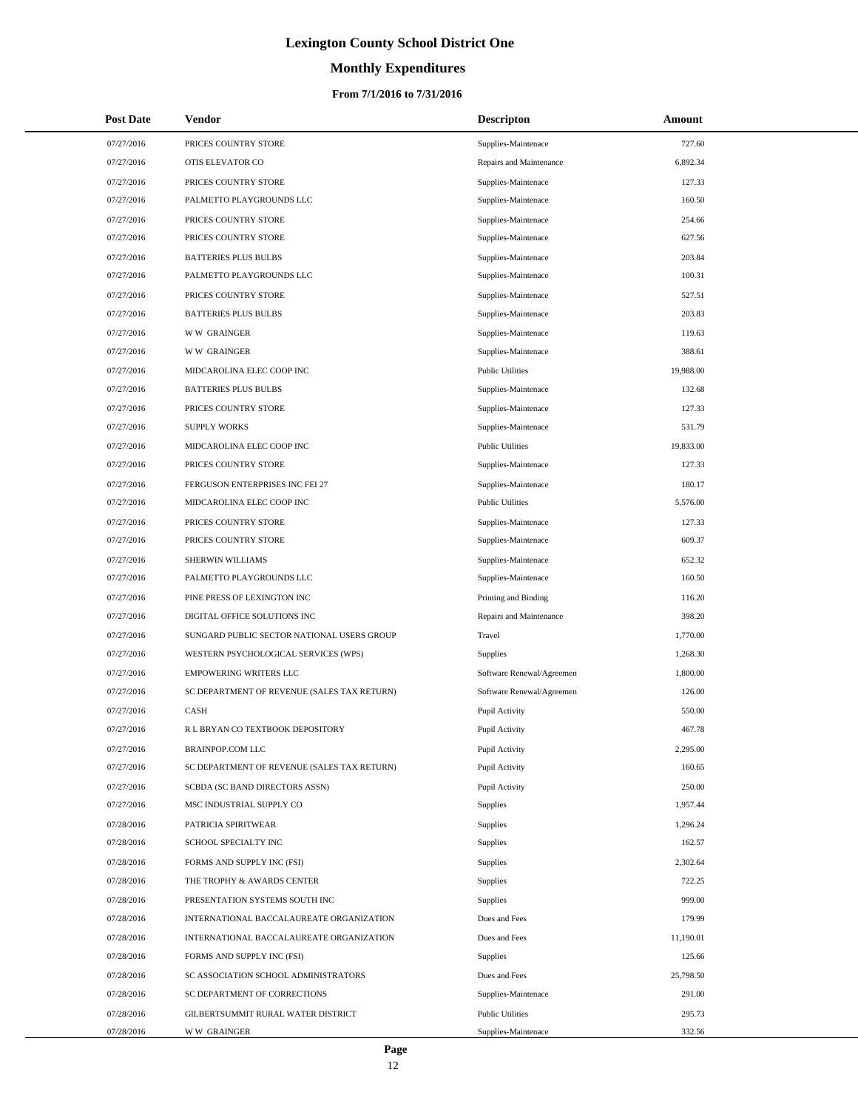# **Monthly Expenditures**

| <b>Post Date</b> | <b>Vendor</b>                               | <b>Descripton</b>         | Amount    |
|------------------|---------------------------------------------|---------------------------|-----------|
| 07/27/2016       | PRICES COUNTRY STORE                        | Supplies-Maintenace       | 727.60    |
| 07/27/2016       | OTIS ELEVATOR CO                            | Repairs and Maintenance   | 6,892.34  |
| 07/27/2016       | PRICES COUNTRY STORE                        | Supplies-Maintenace       | 127.33    |
| 07/27/2016       | PALMETTO PLAYGROUNDS LLC                    | Supplies-Maintenace       | 160.50    |
| 07/27/2016       | PRICES COUNTRY STORE                        | Supplies-Maintenace       | 254.66    |
| 07/27/2016       | PRICES COUNTRY STORE                        | Supplies-Maintenace       | 627.56    |
| 07/27/2016       | <b>BATTERIES PLUS BULBS</b>                 | Supplies-Maintenace       | 203.84    |
| 07/27/2016       | PALMETTO PLAYGROUNDS LLC                    | Supplies-Maintenace       | 100.31    |
| 07/27/2016       | PRICES COUNTRY STORE                        | Supplies-Maintenace       | 527.51    |
| 07/27/2016       | <b>BATTERIES PLUS BULBS</b>                 | Supplies-Maintenace       | 203.83    |
| 07/27/2016       | <b>WW GRAINGER</b>                          | Supplies-Maintenace       | 119.63    |
| 07/27/2016       | <b>WW GRAINGER</b>                          | Supplies-Maintenace       | 388.61    |
| 07/27/2016       | MIDCAROLINA ELEC COOP INC                   | <b>Public Utilities</b>   | 19,988.00 |
| 07/27/2016       | <b>BATTERIES PLUS BULBS</b>                 | Supplies-Maintenace       | 132.68    |
| 07/27/2016       | PRICES COUNTRY STORE                        | Supplies-Maintenace       | 127.33    |
| 07/27/2016       | <b>SUPPLY WORKS</b>                         | Supplies-Maintenace       | 531.79    |
| 07/27/2016       | MIDCAROLINA ELEC COOP INC                   | <b>Public Utilities</b>   | 19,833.00 |
| 07/27/2016       | PRICES COUNTRY STORE                        | Supplies-Maintenace       | 127.33    |
| 07/27/2016       | FERGUSON ENTERPRISES INC FEI 27             | Supplies-Maintenace       | 180.17    |
| 07/27/2016       | MIDCAROLINA ELEC COOP INC                   | <b>Public Utilities</b>   | 5,576.00  |
| 07/27/2016       | PRICES COUNTRY STORE                        | Supplies-Maintenace       | 127.33    |
| 07/27/2016       | PRICES COUNTRY STORE                        | Supplies-Maintenace       | 609.37    |
| 07/27/2016       | SHERWIN WILLIAMS                            | Supplies-Maintenace       | 652.32    |
| 07/27/2016       | PALMETTO PLAYGROUNDS LLC                    | Supplies-Maintenace       | 160.50    |
| 07/27/2016       | PINE PRESS OF LEXINGTON INC                 | Printing and Binding      | 116.20    |
| 07/27/2016       | DIGITAL OFFICE SOLUTIONS INC                | Repairs and Maintenance   | 398.20    |
| 07/27/2016       | SUNGARD PUBLIC SECTOR NATIONAL USERS GROUP  | Travel                    | 1,770.00  |
| 07/27/2016       | WESTERN PSYCHOLOGICAL SERVICES (WPS)        | <b>Supplies</b>           | 1,268.30  |
| 07/27/2016       | <b>EMPOWERING WRITERS LLC</b>               | Software Renewal/Agreemen | 1,800.00  |
| 07/27/2016       | SC DEPARTMENT OF REVENUE (SALES TAX RETURN) | Software Renewal/Agreemen | 126.00    |
| 07/27/2016       | <b>CASH</b>                                 | Pupil Activity            | 550.00    |
| 07/27/2016       | R L BRYAN CO TEXTBOOK DEPOSITORY            | Pupil Activity            | 467.78    |
| 07/27/2016       | BRAINPOP.COM LLC                            | Pupil Activity            | 2,295.00  |
| 07/27/2016       | SC DEPARTMENT OF REVENUE (SALES TAX RETURN) | Pupil Activity            | 160.65    |
| 07/27/2016       | SCBDA (SC BAND DIRECTORS ASSN)              | Pupil Activity            | 250.00    |
| 07/27/2016       | MSC INDUSTRIAL SUPPLY CO                    | <b>Supplies</b>           | 1,957.44  |
| 07/28/2016       | PATRICIA SPIRITWEAR                         | Supplies                  | 1,296.24  |
| 07/28/2016       | SCHOOL SPECIALTY INC                        | <b>Supplies</b>           | 162.57    |
| 07/28/2016       | FORMS AND SUPPLY INC (FSI)                  | Supplies                  | 2,302.64  |
| 07/28/2016       | THE TROPHY & AWARDS CENTER                  | Supplies                  | 722.25    |
| 07/28/2016       | PRESENTATION SYSTEMS SOUTH INC              | Supplies                  | 999.00    |
| 07/28/2016       | INTERNATIONAL BACCALAUREATE ORGANIZATION    | Dues and Fees             | 179.99    |
| 07/28/2016       | INTERNATIONAL BACCALAUREATE ORGANIZATION    | Dues and Fees             | 11,190.01 |
| 07/28/2016       | FORMS AND SUPPLY INC (FSI)                  | Supplies                  | 125.66    |
| 07/28/2016       | SC ASSOCIATION SCHOOL ADMINISTRATORS        | Dues and Fees             | 25,798.50 |
| 07/28/2016       | SC DEPARTMENT OF CORRECTIONS                | Supplies-Maintenace       | 291.00    |
| 07/28/2016       | GILBERTSUMMIT RURAL WATER DISTRICT          | <b>Public Utilities</b>   | 295.73    |
| 07/28/2016       | <b>WW GRAINGER</b>                          | Supplies-Maintenace       | 332.56    |